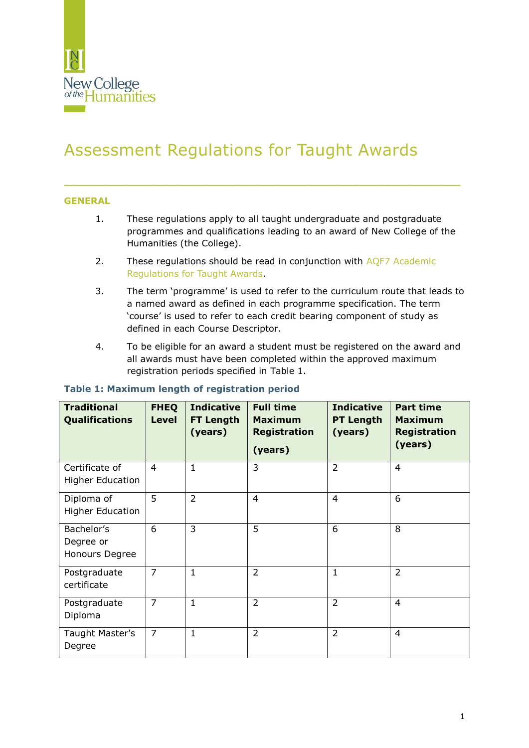

# Assessment Regulations for Taught Awards

#### **GENERAL**

- 1. These regulations apply to all taught undergraduate and postgraduate programmes and qualifications leading to an award of New College of the Humanities (the College).
- 2. These regulations should be read in conjunction with AQF7 Academic [Regulations for Taught Awards.](https://www.nchlondon.ac.uk/about-us/academic-handbook/academic-framework/)

\_\_\_\_\_\_\_\_\_\_\_\_\_\_\_\_\_\_\_\_\_\_\_\_\_\_\_\_\_\_\_\_\_\_\_\_\_\_\_

- 3. The term 'programme' is used to refer to the curriculum route that leads to a named award as defined in each programme specification. The term 'course' is used to refer to each credit bearing component of study as defined in each Course Descriptor.
- 4. To be eligible for an award a student must be registered on the award and all awards must have been completed within the approved maximum registration periods specified in Table 1.

| <b>Traditional</b><br><b>Qualifications</b> | <b>FHEQ</b><br><b>Level</b> | <b>Indicative</b><br><b>FT Length</b><br>(years) | <b>Full time</b><br><b>Maximum</b><br><b>Registration</b><br>(years) | <b>Indicative</b><br><b>PT Length</b><br>(years) | <b>Part time</b><br><b>Maximum</b><br><b>Registration</b><br>(years) |
|---------------------------------------------|-----------------------------|--------------------------------------------------|----------------------------------------------------------------------|--------------------------------------------------|----------------------------------------------------------------------|
| Certificate of<br><b>Higher Education</b>   | $\overline{4}$              | $\mathbf{1}$                                     | 3                                                                    | $\overline{2}$                                   | $\overline{4}$                                                       |
| Diploma of<br><b>Higher Education</b>       | 5                           | $\overline{2}$                                   | $\overline{4}$                                                       | $\overline{4}$                                   | 6                                                                    |
| Bachelor's<br>Degree or<br>Honours Degree   | 6                           | 3                                                | 5                                                                    | 6                                                | 8                                                                    |
| Postgraduate<br>certificate                 | $\overline{7}$              | $\mathbf{1}$                                     | $\overline{2}$                                                       | $1\,$                                            | $\overline{2}$                                                       |
| Postgraduate<br>Diploma                     | $\overline{7}$              | $\mathbf{1}$                                     | $\overline{2}$                                                       | $\overline{2}$                                   | $\overline{4}$                                                       |
| Taught Master's<br>Degree                   | $\overline{7}$              | $\mathbf{1}$                                     | $\overline{2}$                                                       | $\overline{2}$                                   | $\overline{4}$                                                       |

#### **Table 1: Maximum length of registration period**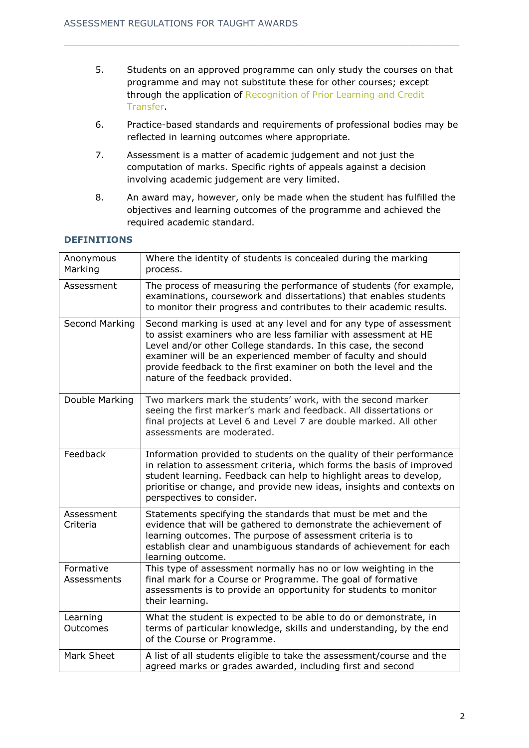- 5. Students on an approved programme can only study the courses on that programme and may not substitute these for other courses; except through the application of [Recognition of Prior Learning](https://www.nchlondon.ac.uk/about-us/academic-handbook/nch-policies-and-procedures/academic-policies/) and Credit [Transfer.](https://www.nchlondon.ac.uk/about-us/academic-handbook/nch-policies-and-procedures/academic-policies/)
- 6. Practice-based standards and requirements of professional bodies may be reflected in learning outcomes where appropriate.
- 7. Assessment is a matter of academic judgement and not just the computation of marks. Specific rights of appeals against a decision involving academic judgement are very limited.
- 8. An award may, however, only be made when the student has fulfilled the objectives and learning outcomes of the programme and achieved the required academic standard.

## **DEFINITIONS**

| Anonymous<br>Marking     | Where the identity of students is concealed during the marking<br>process.                                                                                                                                                                                                                                                                                                      |
|--------------------------|---------------------------------------------------------------------------------------------------------------------------------------------------------------------------------------------------------------------------------------------------------------------------------------------------------------------------------------------------------------------------------|
| Assessment               | The process of measuring the performance of students (for example,<br>examinations, coursework and dissertations) that enables students<br>to monitor their progress and contributes to their academic results.                                                                                                                                                                 |
| Second Marking           | Second marking is used at any level and for any type of assessment<br>to assist examiners who are less familiar with assessment at HE<br>Level and/or other College standards. In this case, the second<br>examiner will be an experienced member of faculty and should<br>provide feedback to the first examiner on both the level and the<br>nature of the feedback provided. |
| Double Marking           | Two markers mark the students' work, with the second marker<br>seeing the first marker's mark and feedback. All dissertations or<br>final projects at Level 6 and Level 7 are double marked. All other<br>assessments are moderated.                                                                                                                                            |
| Feedback                 | Information provided to students on the quality of their performance<br>in relation to assessment criteria, which forms the basis of improved<br>student learning. Feedback can help to highlight areas to develop,<br>prioritise or change, and provide new ideas, insights and contexts on<br>perspectives to consider.                                                       |
| Assessment<br>Criteria   | Statements specifying the standards that must be met and the<br>evidence that will be gathered to demonstrate the achievement of<br>learning outcomes. The purpose of assessment criteria is to<br>establish clear and unambiguous standards of achievement for each<br>learning outcome.                                                                                       |
| Formative<br>Assessments | This type of assessment normally has no or low weighting in the<br>final mark for a Course or Programme. The goal of formative<br>assessments is to provide an opportunity for students to monitor<br>their learning.                                                                                                                                                           |
| Learning<br>Outcomes     | What the student is expected to be able to do or demonstrate, in<br>terms of particular knowledge, skills and understanding, by the end<br>of the Course or Programme.                                                                                                                                                                                                          |
| Mark Sheet               | A list of all students eligible to take the assessment/course and the<br>agreed marks or grades awarded, including first and second                                                                                                                                                                                                                                             |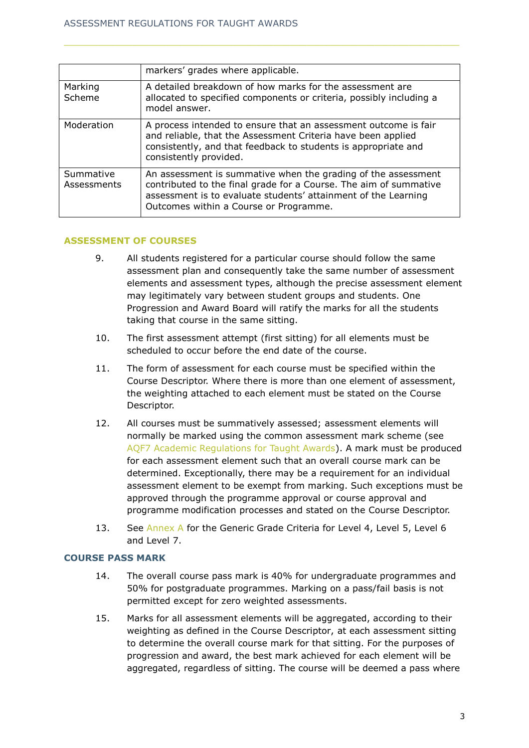|                          | markers' grades where applicable.                                                                                                                                                                                                              |
|--------------------------|------------------------------------------------------------------------------------------------------------------------------------------------------------------------------------------------------------------------------------------------|
| Marking<br>Scheme        | A detailed breakdown of how marks for the assessment are<br>allocated to specified components or criteria, possibly including a<br>model answer.                                                                                               |
| Moderation               | A process intended to ensure that an assessment outcome is fair<br>and reliable, that the Assessment Criteria have been applied<br>consistently, and that feedback to students is appropriate and<br>consistently provided.                    |
| Summative<br>Assessments | An assessment is summative when the grading of the assessment<br>contributed to the final grade for a Course. The aim of summative<br>assessment is to evaluate students' attainment of the Learning<br>Outcomes within a Course or Programme. |

#### **ASSESSMENT OF COURSES**

- 9. All students registered for a particular course should follow the same assessment plan and consequently take the same number of assessment elements and assessment types, although the precise assessment element may legitimately vary between student groups and students. One Progression and Award Board will ratify the marks for all the students taking that course in the same sitting.
- 10. The first assessment attempt (first sitting) for all elements must be scheduled to occur before the end date of the course.
- 11. The form of assessment for each course must be specified within the Course Descriptor. Where there is more than one element of assessment, the weighting attached to each element must be stated on the Course Descriptor.
- 12. All courses must be summatively assessed; assessment elements will normally be marked using the common assessment mark scheme (see [AQF7 Academic Regulations for Taught Awards\)](https://www.nchlondon.ac.uk/about-us/academic-handbook/academic-framework/). A mark must be produced for each assessment element such that an overall course mark can be determined. Exceptionally, there may be a requirement for an individual assessment element to be exempt from marking. Such exceptions must be approved through the programme approval or course approval and programme modification processes and stated on the Course Descriptor.
- 13. See [Annex A](#page-12-0) for the Generic Grade Criteria for Level 4, Level 5, Level 6 and Level 7.

#### **COURSE PASS MARK**

- 14. The overall course pass mark is 40% for undergraduate programmes and 50% for postgraduate programmes. Marking on a pass/fail basis is not permitted except for zero weighted assessments.
- 15. Marks for all assessment elements will be aggregated, according to their weighting as defined in the Course Descriptor, at each assessment sitting to determine the overall course mark for that sitting. For the purposes of progression and award, the best mark achieved for each element will be aggregated, regardless of sitting. The course will be deemed a pass where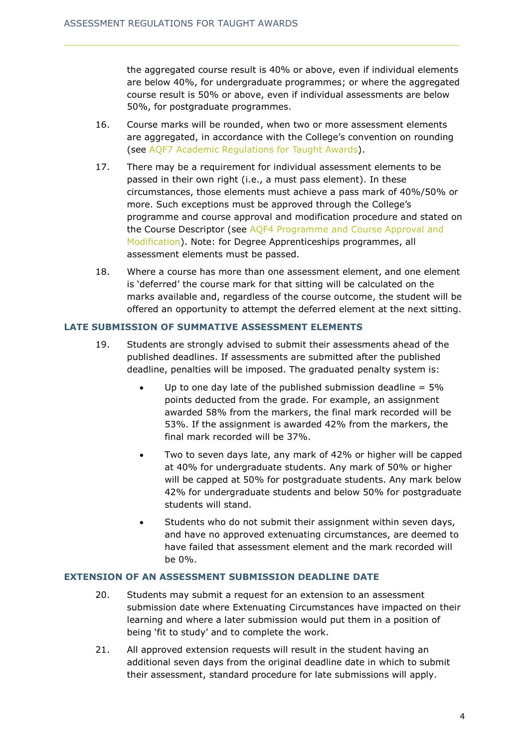the aggregated course result is 40% or above, even if individual elements are below 40%, for undergraduate programmes; or where the aggregated course result is 50% or above, even if individual assessments are below 50%, for postgraduate programmes.

- 16. Course marks will be rounded, when two or more assessment elements are aggregated, in accordance with the College's convention on rounding (see [AQF7 Academic Regulations for Taught Awards\)](https://www.nchlondon.ac.uk/about-us/academic-handbook/academic-framework/aqf7/).
- 17. There may be a requirement for individual assessment elements to be passed in their own right (i.e., a must pass element). In these circumstances, those elements must achieve a pass mark of 40%/50% or more. Such exceptions must be approved through the College's programme and course approval and modification procedure and stated on the Course Descriptor (see [AQF4 Programme and Course Approval and](https://www.nchlondon.ac.uk/about-us/academic-handbook/academic-framework/)  [Modification\)](https://www.nchlondon.ac.uk/about-us/academic-handbook/academic-framework/). Note: for Degree Apprenticeships programmes, all assessment elements must be passed.
- 18. Where a course has more than one assessment element, and one element is 'deferred' the course mark for that sitting will be calculated on the marks available and, regardless of the course outcome, the student will be offered an opportunity to attempt the deferred element at the next sitting.

#### **LATE SUBMISSION OF SUMMATIVE ASSESSMENT ELEMENTS**

- 19. Students are strongly advised to submit their assessments ahead of the published deadlines. If assessments are submitted after the published deadline, penalties will be imposed. The graduated penalty system is:
	- Up to one day late of the published submission deadline  $= 5\%$ points deducted from the grade. For example, an assignment awarded 58% from the markers, the final mark recorded will be 53%. If the assignment is awarded 42% from the markers, the final mark recorded will be 37%.
	- Two to seven days late, any mark of 42% or higher will be capped at 40% for undergraduate students. Any mark of 50% or higher will be capped at 50% for postgraduate students. Any mark below 42% for undergraduate students and below 50% for postgraduate students will stand.
	- Students who do not submit their assignment within seven days, and have no approved extenuating circumstances, are deemed to have failed that assessment element and the mark recorded will be 0%.

#### **EXTENSION OF AN ASSESSMENT SUBMISSION DEADLINE DATE**

- 20. Students may submit a request for an extension to an assessment submission date where Extenuating Circumstances have impacted on their learning and where a later submission would put them in a position of being 'fit to study' and to complete the work.
- 21. All approved extension requests will result in the student having an additional seven days from the original deadline date in which to submit their assessment, standard procedure for late submissions will apply.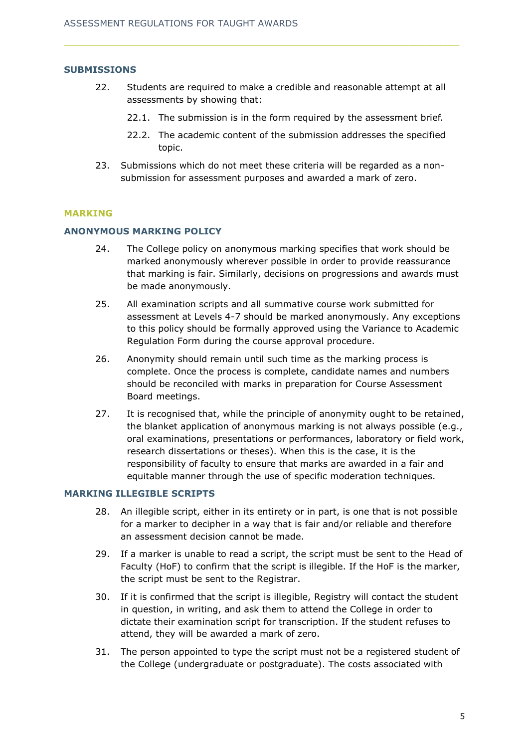#### **SUBMISSIONS**

- 22. Students are required to make a credible and reasonable attempt at all assessments by showing that:
	- 22.1. The submission is in the form required by the assessment brief.
	- 22.2. The academic content of the submission addresses the specified topic.
- 23. Submissions which do not meet these criteria will be regarded as a nonsubmission for assessment purposes and awarded a mark of zero.

#### **MARKING**

## **ANONYMOUS MARKING POLICY**

- 24. The College policy on anonymous marking specifies that work should be marked anonymously wherever possible in order to provide reassurance that marking is fair. Similarly, decisions on progressions and awards must be made anonymously.
- 25. All examination scripts and all summative course work submitted for assessment at Levels 4-7 should be marked anonymously. Any exceptions to this policy should be formally approved using the Variance to Academic Regulation Form during the course approval procedure.
- 26. Anonymity should remain until such time as the marking process is complete. Once the process is complete, candidate names and numbers should be reconciled with marks in preparation for Course Assessment Board meetings.
- 27. It is recognised that, while the principle of anonymity ought to be retained, the blanket application of anonymous marking is not always possible (e.g., oral examinations, presentations or performances, laboratory or field work, research dissertations or theses). When this is the case, it is the responsibility of faculty to ensure that marks are awarded in a fair and equitable manner through the use of specific moderation techniques.

#### **MARKING ILLEGIBLE SCRIPTS**

- 28. An illegible script, either in its entirety or in part, is one that is not possible for a marker to decipher in a way that is fair and/or reliable and therefore an assessment decision cannot be made.
- 29. If a marker is unable to read a script, the script must be sent to the Head of Faculty (HoF) to confirm that the script is illegible. If the HoF is the marker, the script must be sent to the Registrar.
- 30. If it is confirmed that the script is illegible, Registry will contact the student in question, in writing, and ask them to attend the College in order to dictate their examination script for transcription. If the student refuses to attend, they will be awarded a mark of zero.
- 31. The person appointed to type the script must not be a registered student of the College (undergraduate or postgraduate). The costs associated with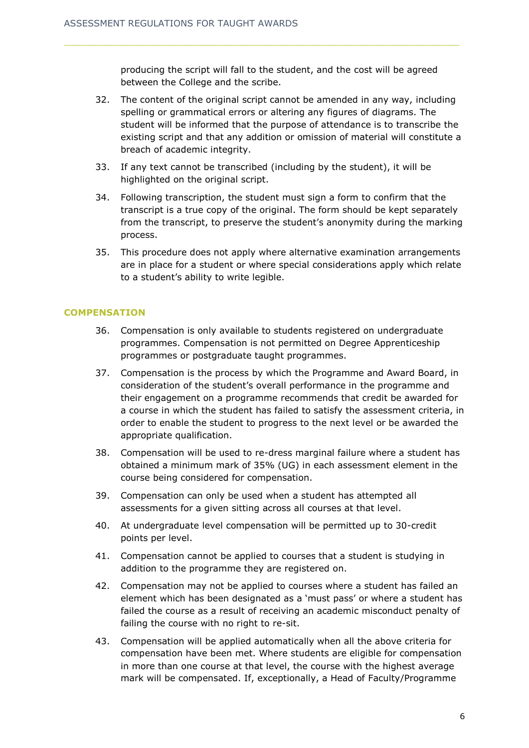producing the script will fall to the student, and the cost will be agreed between the College and the scribe.

- 32. The content of the original script cannot be amended in any way, including spelling or grammatical errors or altering any figures of diagrams. The student will be informed that the purpose of attendance is to transcribe the existing script and that any addition or omission of material will constitute a breach of academic integrity.
- 33. If any text cannot be transcribed (including by the student), it will be highlighted on the original script.
- 34. Following transcription, the student must sign a form to confirm that the transcript is a true copy of the original. The form should be kept separately from the transcript, to preserve the student's anonymity during the marking process.
- 35. This procedure does not apply where alternative examination arrangements are in place for a student or where special considerations apply which relate to a student's ability to write legible.

## **COMPENSATION**

- 36. Compensation is only available to students registered on undergraduate programmes. Compensation is not permitted on Degree Apprenticeship programmes or postgraduate taught programmes.
- 37. Compensation is the process by which the Programme and Award Board, in consideration of the student's overall performance in the programme and their engagement on a programme recommends that credit be awarded for a course in which the student has failed to satisfy the assessment criteria, in order to enable the student to progress to the next level or be awarded the appropriate qualification.
- 38. Compensation will be used to re-dress marginal failure where a student has obtained a minimum mark of 35% (UG) in each assessment element in the course being considered for compensation.
- 39. Compensation can only be used when a student has attempted all assessments for a given sitting across all courses at that level.
- 40. At undergraduate level compensation will be permitted up to 30-credit points per level.
- 41. Compensation cannot be applied to courses that a student is studying in addition to the programme they are registered on.
- 42. Compensation may not be applied to courses where a student has failed an element which has been designated as a 'must pass' or where a student has failed the course as a result of receiving an academic misconduct penalty of failing the course with no right to re-sit.
- 43. Compensation will be applied automatically when all the above criteria for compensation have been met. Where students are eligible for compensation in more than one course at that level, the course with the highest average mark will be compensated. If, exceptionally, a Head of Faculty/Programme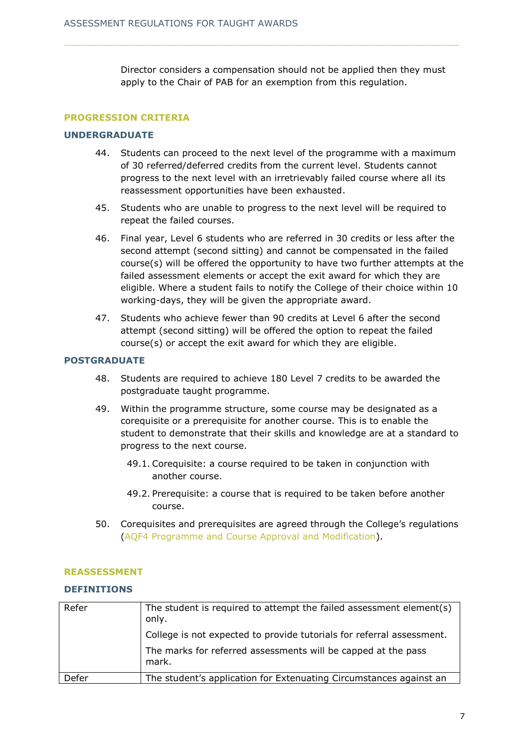Director considers a compensation should not be applied then they must apply to the Chair of PAB for an exemption from this regulation.

## **PROGRESSION CRITERIA**

#### **UNDERGRADUATE**

- 44. Students can proceed to the next level of the programme with a maximum of 30 referred/deferred credits from the current level. Students cannot progress to the next level with an irretrievably failed course where all its reassessment opportunities have been exhausted.
- 45. Students who are unable to progress to the next level will be required to repeat the failed courses.
- 46. Final year, Level 6 students who are referred in 30 credits or less after the second attempt (second sitting) and cannot be compensated in the failed course(s) will be offered the opportunity to have two further attempts at the failed assessment elements or accept the exit award for which they are eligible. Where a student fails to notify the College of their choice within 10 working-days, they will be given the appropriate award.
- 47. Students who achieve fewer than 90 credits at Level 6 after the second attempt (second sitting) will be offered the option to repeat the failed course(s) or accept the exit award for which they are eligible.

#### **POSTGRADUATE**

- 48. Students are required to achieve 180 Level 7 credits to be awarded the postgraduate taught programme.
- 49. Within the programme structure, some course may be designated as a corequisite or a prerequisite for another course. This is to enable the student to demonstrate that their skills and knowledge are at a standard to progress to the next course.
	- 49.1. Corequisite: a course required to be taken in conjunction with another course.
	- 49.2. Prerequisite: a course that is required to be taken before another course.
- 50. Corequisites and prerequisites are agreed through the College's regulations [\(AQF4 Programme and Course Approval and Modification\)](https://www.nchlondon.ac.uk/about-us/academic-handbook/academic-framework/aqf4/).

#### **REASSESSMENT**

#### **DEFINITIONS**

| Refer | The student is required to attempt the failed assessment element(s)<br>only. |
|-------|------------------------------------------------------------------------------|
|       | College is not expected to provide tutorials for referral assessment.        |
|       | The marks for referred assessments will be capped at the pass<br>mark.       |
| Defer | The student's application for Extenuating Circumstances against an           |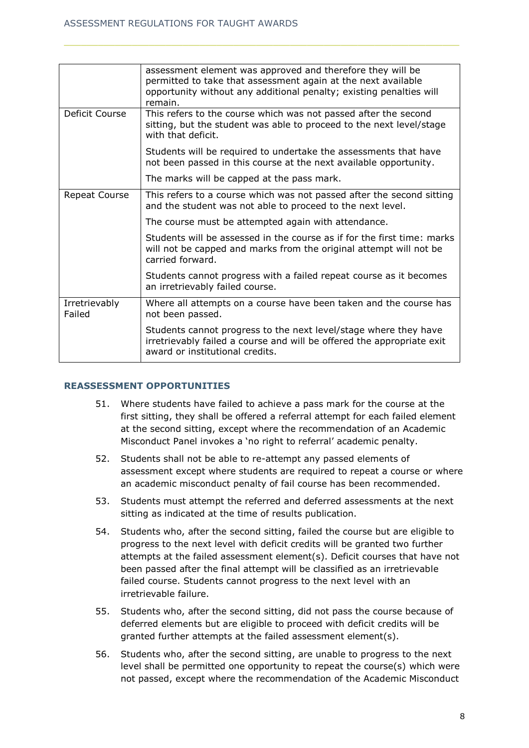|                         | assessment element was approved and therefore they will be<br>permitted to take that assessment again at the next available<br>opportunity without any additional penalty; existing penalties will<br>remain. |
|-------------------------|---------------------------------------------------------------------------------------------------------------------------------------------------------------------------------------------------------------|
| Deficit Course          | This refers to the course which was not passed after the second<br>sitting, but the student was able to proceed to the next level/stage<br>with that deficit.                                                 |
|                         | Students will be required to undertake the assessments that have<br>not been passed in this course at the next available opportunity.                                                                         |
|                         | The marks will be capped at the pass mark.                                                                                                                                                                    |
| Repeat Course           | This refers to a course which was not passed after the second sitting<br>and the student was not able to proceed to the next level.                                                                           |
|                         | The course must be attempted again with attendance.                                                                                                                                                           |
|                         | Students will be assessed in the course as if for the first time: marks<br>will not be capped and marks from the original attempt will not be<br>carried forward.                                             |
|                         | Students cannot progress with a failed repeat course as it becomes<br>an irretrievably failed course.                                                                                                         |
| Irretrievably<br>Failed | Where all attempts on a course have been taken and the course has<br>not been passed.                                                                                                                         |
|                         | Students cannot progress to the next level/stage where they have<br>irretrievably failed a course and will be offered the appropriate exit<br>award or institutional credits.                                 |

## **REASSESSMENT OPPORTUNITIES**

- 51. Where students have failed to achieve a pass mark for the course at the first sitting, they shall be offered a referral attempt for each failed element at the second sitting, except where the recommendation of an Academic Misconduct Panel invokes a 'no right to referral' academic penalty.
- 52. Students shall not be able to re-attempt any passed elements of assessment except where students are required to repeat a course or where an academic misconduct penalty of fail course has been recommended.
- 53. Students must attempt the referred and deferred assessments at the next sitting as indicated at the time of results publication.
- 54. Students who, after the second sitting, failed the course but are eligible to progress to the next level with deficit credits will be granted two further attempts at the failed assessment element(s). Deficit courses that have not been passed after the final attempt will be classified as an irretrievable failed course. Students cannot progress to the next level with an irretrievable failure.
- 55. Students who, after the second sitting, did not pass the course because of deferred elements but are eligible to proceed with deficit credits will be granted further attempts at the failed assessment element(s).
- 56. Students who, after the second sitting, are unable to progress to the next level shall be permitted one opportunity to repeat the course(s) which were not passed, except where the recommendation of the Academic Misconduct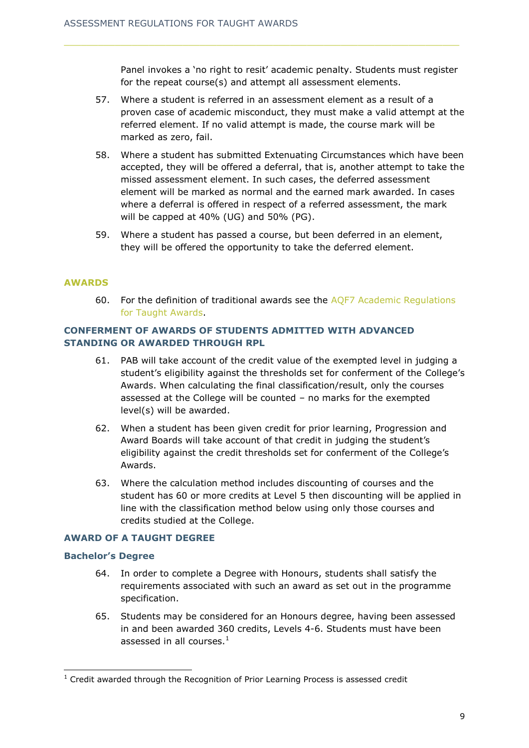Panel invokes a 'no right to resit' academic penalty. Students must register for the repeat course(s) and attempt all assessment elements.

- 57. Where a student is referred in an assessment element as a result of a proven case of academic misconduct, they must make a valid attempt at the referred element. If no valid attempt is made, the course mark will be marked as zero, fail.
- 58. Where a student has submitted Extenuating Circumstances which have been accepted, they will be offered a deferral, that is, another attempt to take the missed assessment element. In such cases, the deferred assessment element will be marked as normal and the earned mark awarded. In cases where a deferral is offered in respect of a referred assessment, the mark will be capped at 40% (UG) and 50% (PG).
- 59. Where a student has passed a course, but been deferred in an element, they will be offered the opportunity to take the deferred element.

#### **AWARDS**

60. For the definition of traditional awards see the [AQF7 Academic Regulations](https://www.nchlondon.ac.uk/about-us/academic-handbook/academic-framework/)  [for Taught Awards.](https://www.nchlondon.ac.uk/about-us/academic-handbook/academic-framework/)

# **CONFERMENT OF AWARDS OF STUDENTS ADMITTED WITH ADVANCED STANDING OR AWARDED THROUGH RPL**

- 61. PAB will take account of the credit value of the exempted level in judging a student's eligibility against the thresholds set for conferment of the College's Awards. When calculating the final classification/result, only the courses assessed at the College will be counted – no marks for the exempted level(s) will be awarded.
- 62. When a student has been given credit for prior learning, Progression and Award Boards will take account of that credit in judging the student's eligibility against the credit thresholds set for conferment of the College's Awards.
- 63. Where the calculation method includes discounting of courses and the student has 60 or more credits at Level 5 then discounting will be applied in line with the classification method below using only those courses and credits studied at the College.

#### **AWARD OF A TAUGHT DEGREE**

#### **Bachelor's Degree**

-

- 64. In order to complete a Degree with Honours, students shall satisfy the requirements associated with such an award as set out in the programme specification.
- 65. Students may be considered for an Honours degree, having been assessed in and been awarded 360 credits, Levels 4-6. Students must have been assessed in all courses. $<sup>1</sup>$ </sup>

 $1$  Credit awarded through the Recognition of Prior Learning Process is assessed credit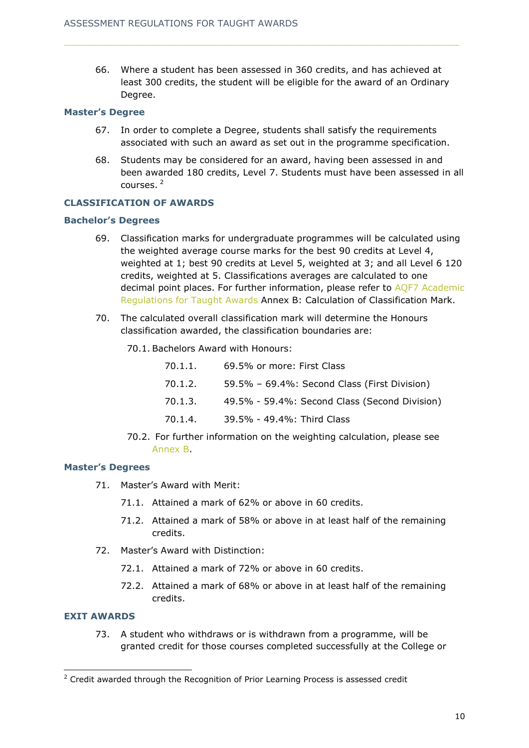66. Where a student has been assessed in 360 credits, and has achieved at least 300 credits, the student will be eligible for the award of an Ordinary Degree.

#### **Master's Degree**

- 67. In order to complete a Degree, students shall satisfy the requirements associated with such an award as set out in the programme specification.
- 68. Students may be considered for an award, having been assessed in and been awarded 180 credits, Level 7. Students must have been assessed in all courses. <sup>2</sup>

#### **CLASSIFICATION OF AWARDS**

#### **Bachelor's Degrees**

- 69. Classification marks for undergraduate programmes will be calculated using the weighted average course marks for the best 90 credits at Level 4, weighted at 1; best 90 credits at Level 5, weighted at 3; and all Level 6 120 credits, weighted at 5. Classifications averages are calculated to one decimal point places. For further information, please refer to AQF7 Academic [Regulations for Taught Awards](https://www.nchlondon.ac.uk/about-us/academic-handbook/academic-framework/) Annex B: Calculation of Classification Mark.
- 70. The calculated overall classification mark will determine the Honours classification awarded, the classification boundaries are:
	- 70.1. Bachelors Award with Honours:

| 70.1.1. | 69.5% or more: First Class                    |
|---------|-----------------------------------------------|
| 70.1.2. | 59.5% - 69.4%: Second Class (First Division)  |
| 70.1.3. | 49.5% - 59.4%: Second Class (Second Division) |
| 70.1.4. | 39.5% - 49.4%: Third Class                    |

70.2. For further information on the weighting calculation, please see [Annex B.](#page-32-0)

#### **Master's Degrees**

- 71. Master's Award with Merit:
	- 71.1. Attained a mark of 62% or above in 60 credits.
	- 71.2. Attained a mark of 58% or above in at least half of the remaining credits.
- 72. Master's Award with Distinction:
	- 72.1. Attained a mark of 72% or above in 60 credits.
	- 72.2. Attained a mark of 68% or above in at least half of the remaining credits.

## **EXIT AWARDS**

-

73. A student who withdraws or is withdrawn from a programme, will be granted credit for those courses completed successfully at the College or

<sup>&</sup>lt;sup>2</sup> Credit awarded through the Recognition of Prior Learning Process is assessed credit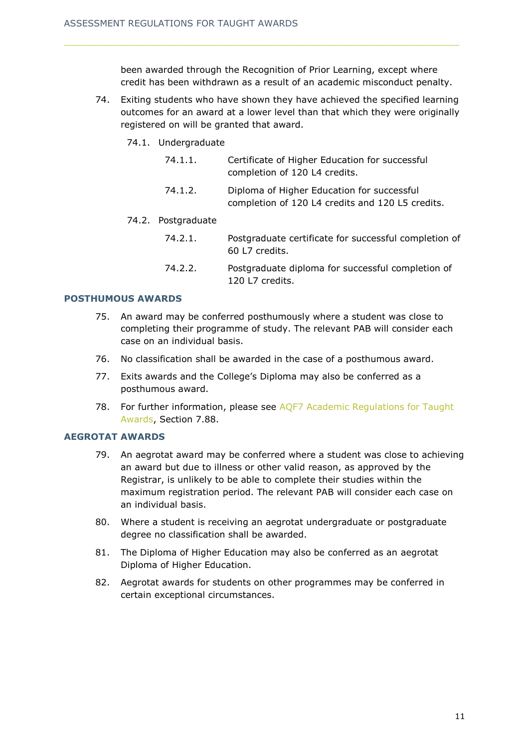been awarded through the Recognition of Prior Learning, except where credit has been withdrawn as a result of an academic misconduct penalty.

- 74. Exiting students who have shown they have achieved the specified learning outcomes for an award at a lower level than that which they were originally registered on will be granted that award.
	- 74.1. Undergraduate

| 74.1.1. | Certificate of Higher Education for successful |
|---------|------------------------------------------------|
|         | completion of 120 L4 credits.                  |

74.1.2. Diploma of Higher Education for successful completion of 120 L4 credits and 120 L5 credits.

#### 74.2. Postgraduate

- 74.2.1. Postgraduate certificate for successful completion of 60 L7 credits.
- 74.2.2. Postgraduate diploma for successful completion of 120 L7 credits.

#### **POSTHUMOUS AWARDS**

- 75. An award may be conferred posthumously where a student was close to completing their programme of study. The relevant PAB will consider each case on an individual basis.
- 76. No classification shall be awarded in the case of a posthumous award.
- 77. Exits awards and the College's Diploma may also be conferred as a posthumous award.
- 78. For further information, please see [AQF7 Academic Regulations for Taught](https://www.nchlondon.ac.uk/about-us/academic-handbook/academic-framework/)  [Awards,](https://www.nchlondon.ac.uk/about-us/academic-handbook/academic-framework/) Section 7.88.

#### **AEGROTAT AWARDS**

- 79. An aegrotat award may be conferred where a student was close to achieving an award but due to illness or other valid reason, as approved by the Registrar, is unlikely to be able to complete their studies within the maximum registration period. The relevant PAB will consider each case on an individual basis.
- 80. Where a student is receiving an aegrotat undergraduate or postgraduate degree no classification shall be awarded.
- 81. The Diploma of Higher Education may also be conferred as an aegrotat Diploma of Higher Education.
- 82. Aegrotat awards for students on other programmes may be conferred in certain exceptional circumstances.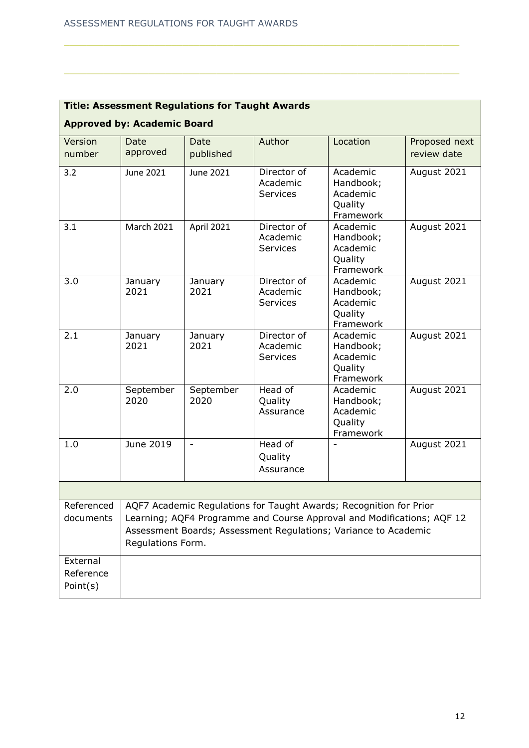| <b>Title: Assessment Regulations for Taught Awards</b> |                                                                                                                                                                                                                                      |                   |                                     |                                                           |                              |  |  |  |
|--------------------------------------------------------|--------------------------------------------------------------------------------------------------------------------------------------------------------------------------------------------------------------------------------------|-------------------|-------------------------------------|-----------------------------------------------------------|------------------------------|--|--|--|
| <b>Approved by: Academic Board</b>                     |                                                                                                                                                                                                                                      |                   |                                     |                                                           |                              |  |  |  |
| Version<br>number                                      | Date<br>approved                                                                                                                                                                                                                     | Date<br>published | Author                              | Location                                                  | Proposed next<br>review date |  |  |  |
| 3.2                                                    | June 2021                                                                                                                                                                                                                            | June 2021         | Director of<br>Academic<br>Services | Academic<br>Handbook;<br>Academic<br>Quality<br>Framework | August 2021                  |  |  |  |
| 3.1                                                    | March 2021                                                                                                                                                                                                                           | April 2021        | Director of<br>Academic<br>Services | Academic<br>Handbook;<br>Academic<br>Quality<br>Framework | August 2021                  |  |  |  |
| 3.0                                                    | January<br>2021                                                                                                                                                                                                                      | January<br>2021   | Director of<br>Academic<br>Services | Academic<br>Handbook;<br>Academic<br>Quality<br>Framework | August 2021                  |  |  |  |
| 2.1                                                    | January<br>2021                                                                                                                                                                                                                      | January<br>2021   | Director of<br>Academic<br>Services | Academic<br>Handbook;<br>Academic<br>Quality<br>Framework | August 2021                  |  |  |  |
| 2.0                                                    | September<br>2020                                                                                                                                                                                                                    | September<br>2020 | Head of<br>Quality<br>Assurance     | Academic<br>Handbook;<br>Academic<br>Quality<br>Framework | August 2021                  |  |  |  |
| 1.0                                                    | June 2019                                                                                                                                                                                                                            | $\blacksquare$    | Head of<br>Quality<br>Assurance     |                                                           | August 2021                  |  |  |  |
|                                                        |                                                                                                                                                                                                                                      |                   |                                     |                                                           |                              |  |  |  |
| Referenced<br>documents                                | AQF7 Academic Regulations for Taught Awards; Recognition for Prior<br>Learning; AQF4 Programme and Course Approval and Modifications; AQF 12<br>Assessment Boards; Assessment Regulations; Variance to Academic<br>Regulations Form. |                   |                                     |                                                           |                              |  |  |  |
| External<br>Reference<br>Point(s)                      |                                                                                                                                                                                                                                      |                   |                                     |                                                           |                              |  |  |  |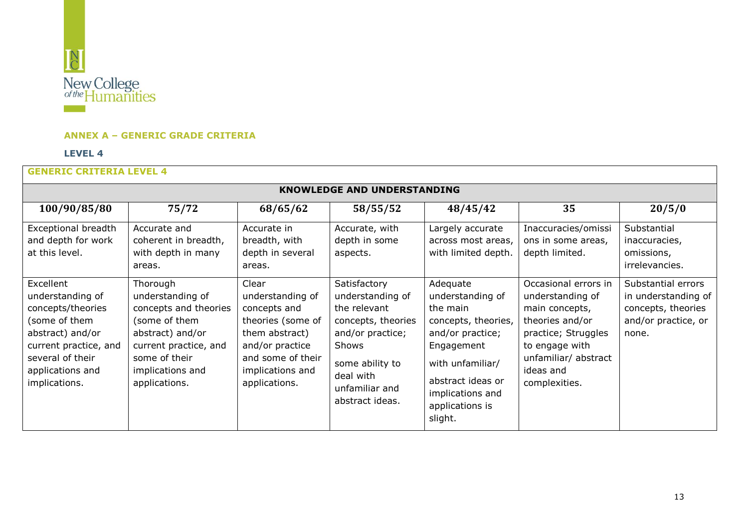

## **ANNEX A – GENERIC GRADE CRITERIA**

#### **LEVEL 4**

<span id="page-12-0"></span>

| <b>KNOWLEDGE AND UNDERSTANDING</b>                                                                                                                                        |                                                                                                                                                                           |                                                                                                                                                               |                                                                                                                                                                          |                                                                                                                                                                                              |                                                                                                                                                                              |                                                                                                 |  |
|---------------------------------------------------------------------------------------------------------------------------------------------------------------------------|---------------------------------------------------------------------------------------------------------------------------------------------------------------------------|---------------------------------------------------------------------------------------------------------------------------------------------------------------|--------------------------------------------------------------------------------------------------------------------------------------------------------------------------|----------------------------------------------------------------------------------------------------------------------------------------------------------------------------------------------|------------------------------------------------------------------------------------------------------------------------------------------------------------------------------|-------------------------------------------------------------------------------------------------|--|
| 100/90/85/80                                                                                                                                                              | 75/72                                                                                                                                                                     | 68/65/62                                                                                                                                                      | 58/55/52                                                                                                                                                                 | 48/45/42                                                                                                                                                                                     | 35                                                                                                                                                                           | 20/5/0                                                                                          |  |
| Exceptional breadth<br>and depth for work<br>at this level.                                                                                                               | Accurate and<br>coherent in breadth,<br>with depth in many<br>areas.                                                                                                      | Accurate in<br>breadth, with<br>depth in several<br>areas.                                                                                                    | Accurate, with<br>depth in some<br>aspects.                                                                                                                              | Largely accurate<br>across most areas,<br>with limited depth.                                                                                                                                | Inaccuracies/omissi<br>ons in some areas,<br>depth limited.                                                                                                                  | Substantial<br>inaccuracies,<br>omissions,<br>irrelevancies.                                    |  |
| Excellent<br>understanding of<br>concepts/theories<br>(some of them<br>abstract) and/or<br>current practice, and<br>several of their<br>applications and<br>implications. | Thorough<br>understanding of<br>concepts and theories<br>(some of them<br>abstract) and/or<br>current practice, and<br>some of their<br>implications and<br>applications. | Clear<br>understanding of<br>concepts and<br>theories (some of<br>them abstract)<br>and/or practice<br>and some of their<br>implications and<br>applications. | Satisfactory<br>understanding of<br>the relevant<br>concepts, theories<br>and/or practice;<br>Shows<br>some ability to<br>deal with<br>unfamiliar and<br>abstract ideas. | Adequate<br>understanding of<br>the main<br>concepts, theories,<br>and/or practice;<br>Engagement<br>with unfamiliar/<br>abstract ideas or<br>implications and<br>applications is<br>slight. | Occasional errors in<br>understanding of<br>main concepts,<br>theories and/or<br>practice; Struggles<br>to engage with<br>unfamiliar/ abstract<br>ideas and<br>complexities. | Substantial errors<br>in understanding of<br>concepts, theories<br>and/or practice, or<br>none. |  |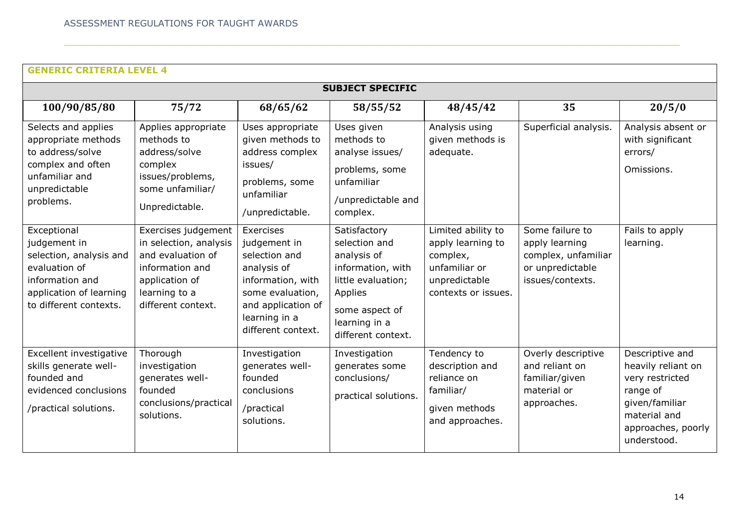| <b>SUBJECT SPECIFIC</b>                                                                                                                         |                                                                                                                                                |                                                                                                                                                                 |                                                                                                                                                             |                                                                                                              |                                                                                                  |                                                                                                                                             |  |
|-------------------------------------------------------------------------------------------------------------------------------------------------|------------------------------------------------------------------------------------------------------------------------------------------------|-----------------------------------------------------------------------------------------------------------------------------------------------------------------|-------------------------------------------------------------------------------------------------------------------------------------------------------------|--------------------------------------------------------------------------------------------------------------|--------------------------------------------------------------------------------------------------|---------------------------------------------------------------------------------------------------------------------------------------------|--|
| 100/90/85/80                                                                                                                                    | 75/72                                                                                                                                          | 68/65/62                                                                                                                                                        | 58/55/52                                                                                                                                                    | 48/45/42                                                                                                     | 35                                                                                               | 20/5/0                                                                                                                                      |  |
| Selects and applies<br>appropriate methods<br>to address/solve<br>complex and often<br>unfamiliar and<br>unpredictable<br>problems.             | Applies appropriate<br>methods to<br>address/solve<br>complex<br>issues/problems,<br>some unfamiliar/<br>Unpredictable.                        | Uses appropriate<br>given methods to<br>address complex<br>issues/<br>problems, some<br>unfamiliar<br>/unpredictable.                                           | Uses given<br>methods to<br>analyse issues/<br>problems, some<br>unfamiliar<br>/unpredictable and<br>complex.                                               | Analysis using<br>given methods is<br>adequate.                                                              | Superficial analysis.                                                                            | Analysis absent or<br>with significant<br>errors/<br>Omissions.                                                                             |  |
| Exceptional<br>judgement in<br>selection, analysis and<br>evaluation of<br>information and<br>application of learning<br>to different contexts. | Exercises judgement<br>in selection, analysis<br>and evaluation of<br>information and<br>application of<br>learning to a<br>different context. | Exercises<br>judgement in<br>selection and<br>analysis of<br>information, with<br>some evaluation,<br>and application of<br>learning in a<br>different context. | Satisfactory<br>selection and<br>analysis of<br>information, with<br>little evaluation;<br>Applies<br>some aspect of<br>learning in a<br>different context. | Limited ability to<br>apply learning to<br>complex,<br>unfamiliar or<br>unpredictable<br>contexts or issues. | Some failure to<br>apply learning<br>complex, unfamiliar<br>or unpredictable<br>issues/contexts. | Fails to apply<br>learning.                                                                                                                 |  |
| Excellent investigative<br>skills generate well-<br>founded and<br>evidenced conclusions<br>/practical solutions.                               | Thorough<br>investigation<br>generates well-<br>founded<br>conclusions/practical<br>solutions.                                                 | Investigation<br>generates well-<br>founded<br>conclusions<br>/practical<br>solutions.                                                                          | Investigation<br>generates some<br>conclusions/<br>practical solutions.                                                                                     | Tendency to<br>description and<br>reliance on<br>familiar/<br>given methods<br>and approaches.               | Overly descriptive<br>and reliant on<br>familiar/given<br>material or<br>approaches.             | Descriptive and<br>heavily reliant on<br>very restricted<br>range of<br>given/familiar<br>material and<br>approaches, poorly<br>understood. |  |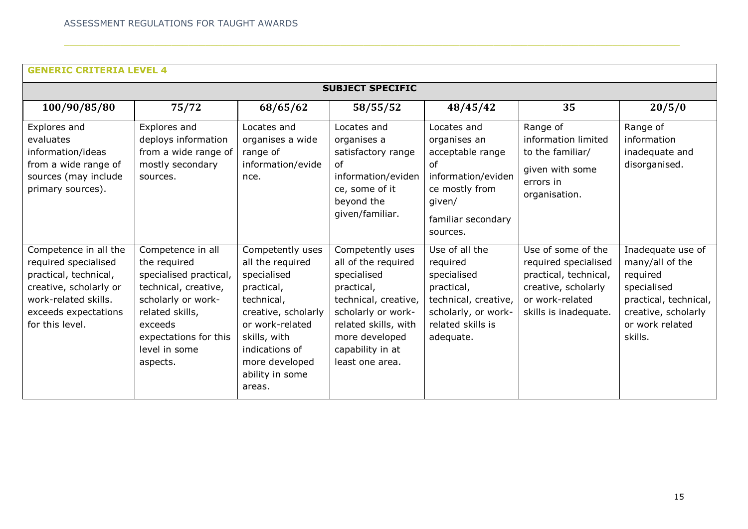| <b>SUBJECT SPECIFIC</b>                                                                                                                                             |                                                                                                                                                                                               |                                                                                                                                                                                                            |                                                                                                                                                                                                     |                                                                                                                                           |                                                                                                                                        |                                                                                                                                               |  |  |
|---------------------------------------------------------------------------------------------------------------------------------------------------------------------|-----------------------------------------------------------------------------------------------------------------------------------------------------------------------------------------------|------------------------------------------------------------------------------------------------------------------------------------------------------------------------------------------------------------|-----------------------------------------------------------------------------------------------------------------------------------------------------------------------------------------------------|-------------------------------------------------------------------------------------------------------------------------------------------|----------------------------------------------------------------------------------------------------------------------------------------|-----------------------------------------------------------------------------------------------------------------------------------------------|--|--|
|                                                                                                                                                                     |                                                                                                                                                                                               |                                                                                                                                                                                                            |                                                                                                                                                                                                     |                                                                                                                                           |                                                                                                                                        |                                                                                                                                               |  |  |
| 100/90/85/80                                                                                                                                                        | 75/72                                                                                                                                                                                         | 68/65/62                                                                                                                                                                                                   | 58/55/52                                                                                                                                                                                            | 48/45/42                                                                                                                                  | 35                                                                                                                                     | 20/5/0                                                                                                                                        |  |  |
| Explores and<br>evaluates<br>information/ideas<br>from a wide range of<br>sources (may include<br>primary sources).                                                 | Explores and<br>deploys information<br>from a wide range of<br>mostly secondary<br>sources.                                                                                                   | Locates and<br>organises a wide<br>range of<br>information/evide<br>nce.                                                                                                                                   | Locates and<br>organises a<br>satisfactory range<br>of<br>information/eviden<br>ce, some of it<br>beyond the<br>given/familiar.                                                                     | Locates and<br>organises an<br>acceptable range<br>0f<br>information/eviden<br>ce mostly from<br>given/<br>familiar secondary<br>sources. | Range of<br>information limited<br>to the familiar/<br>given with some<br>errors in<br>organisation.                                   | Range of<br>information<br>inadequate and<br>disorganised.                                                                                    |  |  |
| Competence in all the<br>required specialised<br>practical, technical,<br>creative, scholarly or<br>work-related skills.<br>exceeds expectations<br>for this level. | Competence in all<br>the required<br>specialised practical,<br>technical, creative,<br>scholarly or work-<br>related skills,<br>exceeds<br>expectations for this<br>level in some<br>aspects. | Competently uses<br>all the required<br>specialised<br>practical,<br>technical,<br>creative, scholarly<br>or work-related<br>skills, with<br>indications of<br>more developed<br>ability in some<br>areas. | Competently uses<br>all of the required<br>specialised<br>practical,<br>technical, creative,<br>scholarly or work-<br>related skills, with<br>more developed<br>capability in at<br>least one area. | Use of all the<br>required<br>specialised<br>practical,<br>technical, creative,<br>scholarly, or work-<br>related skills is<br>adequate.  | Use of some of the<br>required specialised<br>practical, technical,<br>creative, scholarly<br>or work-related<br>skills is inadequate. | Inadequate use of<br>many/all of the<br>required<br>specialised<br>practical, technical,<br>creative, scholarly<br>or work related<br>skills. |  |  |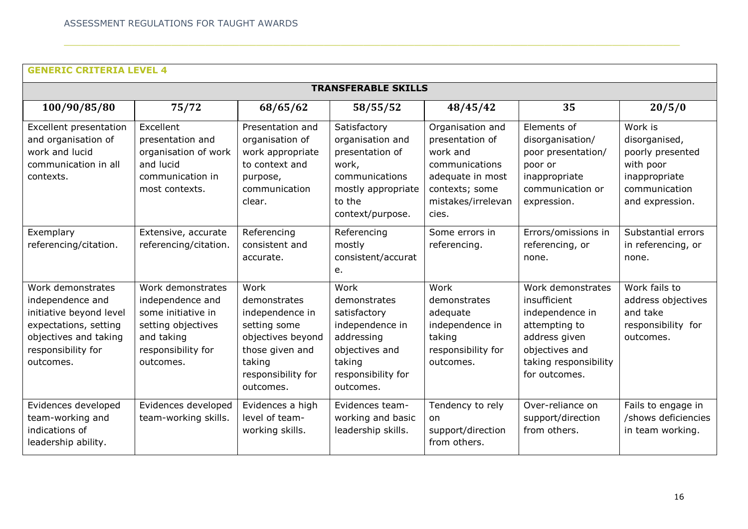| <b>TRANSFERABLE SKILLS</b>                                                                                                                            |                                                                                                                                    |                                                                                                                                              |                                                                                                                                      |                                                                                                                                        |                                                                                                                                                    |                                                                                                                |  |
|-------------------------------------------------------------------------------------------------------------------------------------------------------|------------------------------------------------------------------------------------------------------------------------------------|----------------------------------------------------------------------------------------------------------------------------------------------|--------------------------------------------------------------------------------------------------------------------------------------|----------------------------------------------------------------------------------------------------------------------------------------|----------------------------------------------------------------------------------------------------------------------------------------------------|----------------------------------------------------------------------------------------------------------------|--|
| 100/90/85/80                                                                                                                                          | 75/72                                                                                                                              | 68/65/62                                                                                                                                     | 58/55/52                                                                                                                             | 48/45/42                                                                                                                               | 35                                                                                                                                                 | 20/5/0                                                                                                         |  |
| Excellent presentation<br>and organisation of<br>work and lucid<br>communication in all<br>contexts.                                                  | Excellent<br>presentation and<br>organisation of work<br>and lucid<br>communication in<br>most contexts.                           | Presentation and<br>organisation of<br>work appropriate<br>to context and<br>purpose,<br>communication<br>clear.                             | Satisfactory<br>organisation and<br>presentation of<br>work,<br>communications<br>mostly appropriate<br>to the<br>context/purpose.   | Organisation and<br>presentation of<br>work and<br>communications<br>adequate in most<br>contexts; some<br>mistakes/irrelevan<br>cies. | Elements of<br>disorganisation/<br>poor presentation/<br>poor or<br>inappropriate<br>communication or<br>expression.                               | Work is<br>disorganised,<br>poorly presented<br>with poor<br>inappropriate<br>communication<br>and expression. |  |
| Exemplary<br>referencing/citation.                                                                                                                    | Extensive, accurate<br>referencing/citation.                                                                                       | Referencing<br>consistent and<br>accurate.                                                                                                   | Referencing<br>mostly<br>consistent/accurat<br>e.                                                                                    | Some errors in<br>referencing.                                                                                                         | Errors/omissions in<br>referencing, or<br>none.                                                                                                    | Substantial errors<br>in referencing, or<br>none.                                                              |  |
| Work demonstrates<br>independence and<br>initiative beyond level<br>expectations, setting<br>objectives and taking<br>responsibility for<br>outcomes. | Work demonstrates<br>independence and<br>some initiative in<br>setting objectives<br>and taking<br>responsibility for<br>outcomes. | Work<br>demonstrates<br>independence in<br>setting some<br>objectives beyond<br>those given and<br>taking<br>responsibility for<br>outcomes. | Work<br>demonstrates<br>satisfactory<br>independence in<br>addressing<br>objectives and<br>taking<br>responsibility for<br>outcomes. | Work<br>demonstrates<br>adequate<br>independence in<br>taking<br>responsibility for<br>outcomes.                                       | Work demonstrates<br>insufficient<br>independence in<br>attempting to<br>address given<br>objectives and<br>taking responsibility<br>for outcomes. | Work fails to<br>address objectives<br>and take<br>responsibility for<br>outcomes.                             |  |
| Evidences developed<br>team-working and<br>indications of<br>leadership ability.                                                                      | Evidences developed<br>team-working skills.                                                                                        | Evidences a high<br>level of team-<br>working skills.                                                                                        | Evidences team-<br>working and basic<br>leadership skills.                                                                           | Tendency to rely<br><b>on</b><br>support/direction<br>from others.                                                                     | Over-reliance on<br>support/direction<br>from others.                                                                                              | Fails to engage in<br>/shows deficiencies<br>in team working.                                                  |  |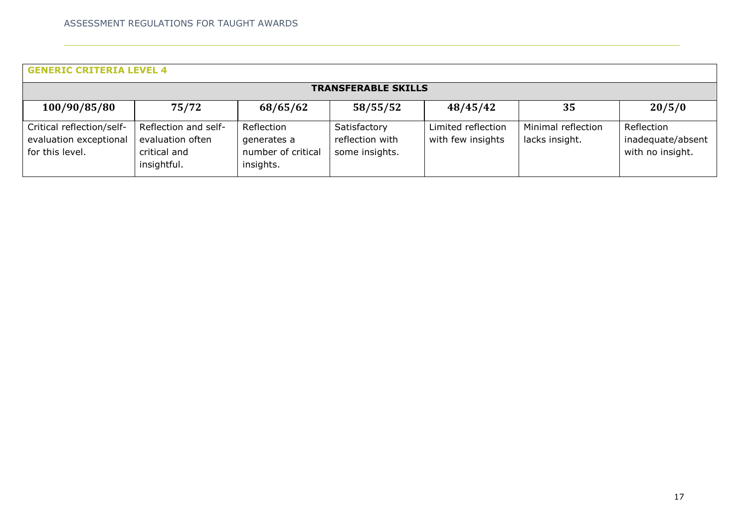| <b>GENERIC CRITERIA LEVEL 4</b>                                        |                                                                         |                                                              |                                                   |                                         |                                      |                                                     |  |  |
|------------------------------------------------------------------------|-------------------------------------------------------------------------|--------------------------------------------------------------|---------------------------------------------------|-----------------------------------------|--------------------------------------|-----------------------------------------------------|--|--|
| <b>TRANSFERABLE SKILLS</b>                                             |                                                                         |                                                              |                                                   |                                         |                                      |                                                     |  |  |
| 100/90/85/80                                                           | 75/72                                                                   | 68/65/62                                                     | 58/55/52                                          | 48/45/42                                | 35                                   | 20/5/0                                              |  |  |
| Critical reflection/self-<br>evaluation exceptional<br>for this level. | Reflection and self-<br>evaluation often<br>critical and<br>insightful. | Reflection<br>generates a<br>number of critical<br>insights. | Satisfactory<br>reflection with<br>some insights. | Limited reflection<br>with few insights | Minimal reflection<br>lacks insight. | Reflection<br>inadequate/absent<br>with no insight. |  |  |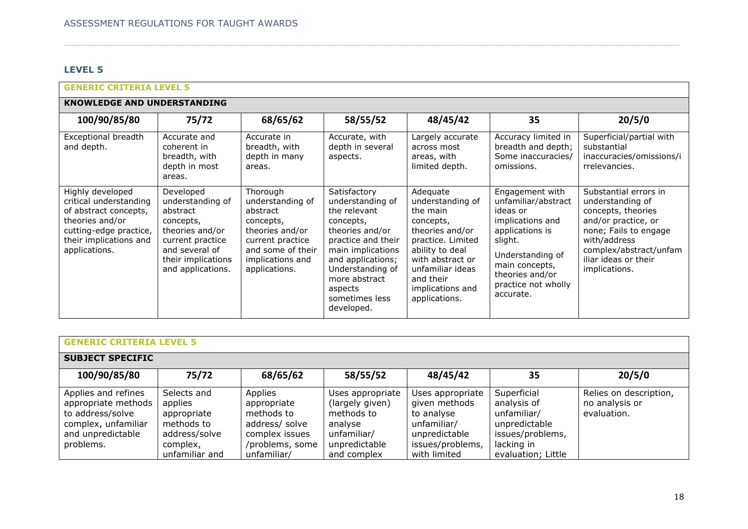# **LEVEL 5**

| <b>GENERIC CRITERIA LEVEL 5</b>                                                                                                                             |                                                                                                                                                            |                                                                                                                                                        |                                                                                                                                                                                                                                  |                                                                                                                                                                                                            |                                                                                                                                                                                                   |                                                                                                                                                                                                    |  |  |  |
|-------------------------------------------------------------------------------------------------------------------------------------------------------------|------------------------------------------------------------------------------------------------------------------------------------------------------------|--------------------------------------------------------------------------------------------------------------------------------------------------------|----------------------------------------------------------------------------------------------------------------------------------------------------------------------------------------------------------------------------------|------------------------------------------------------------------------------------------------------------------------------------------------------------------------------------------------------------|---------------------------------------------------------------------------------------------------------------------------------------------------------------------------------------------------|----------------------------------------------------------------------------------------------------------------------------------------------------------------------------------------------------|--|--|--|
| <b>KNOWLEDGE AND UNDERSTANDING</b>                                                                                                                          |                                                                                                                                                            |                                                                                                                                                        |                                                                                                                                                                                                                                  |                                                                                                                                                                                                            |                                                                                                                                                                                                   |                                                                                                                                                                                                    |  |  |  |
| 100/90/85/80                                                                                                                                                | 75/72                                                                                                                                                      | 68/65/62                                                                                                                                               | 58/55/52                                                                                                                                                                                                                         | 48/45/42                                                                                                                                                                                                   | 35                                                                                                                                                                                                | 20/5/0                                                                                                                                                                                             |  |  |  |
| Exceptional breadth<br>and depth.                                                                                                                           | Accurate and<br>coherent in<br>breadth, with<br>depth in most<br>areas.                                                                                    | Accurate in<br>breadth, with<br>depth in many<br>areas.                                                                                                | Accurate, with<br>depth in several<br>aspects.                                                                                                                                                                                   | Largely accurate<br>across most<br>areas, with<br>limited depth.                                                                                                                                           | Accuracy limited in<br>breadth and depth;<br>Some inaccuracies/<br>omissions.                                                                                                                     | Superficial/partial with<br>substantial<br>inaccuracies/omissions/i<br>rrelevancies.                                                                                                               |  |  |  |
| Highly developed<br>critical understanding<br>of abstract concepts,<br>theories and/or<br>cutting-edge practice,<br>their implications and<br>applications. | Developed<br>understanding of<br>abstract<br>concepts,<br>theories and/or<br>current practice<br>and several of<br>their implications<br>and applications. | Thorough<br>understanding of<br>abstract<br>concepts,<br>theories and/or<br>current practice<br>and some of their<br>implications and<br>applications. | Satisfactory<br>understanding of<br>the relevant<br>concepts,<br>theories and/or<br>practice and their<br>main implications<br>and applications;<br>Understanding of<br>more abstract<br>aspects<br>sometimes less<br>developed. | Adequate<br>understanding of<br>the main<br>concepts,<br>theories and/or<br>practice. Limited<br>ability to deal<br>with abstract or<br>unfamiliar ideas<br>and their<br>implications and<br>applications. | Engagement with<br>unfamiliar/abstract<br>ideas or<br>implications and<br>applications is<br>slight.<br>Understanding of<br>main concepts,<br>theories and/or<br>practice not wholly<br>accurate. | Substantial errors in<br>understanding of<br>concepts, theories<br>and/or practice, or<br>none; Fails to engage<br>with/address<br>complex/abstract/unfam<br>iliar ideas or their<br>implications. |  |  |  |

| <b>GENERIC CRITERIA LEVEL 5</b>                                                                                         |                                                                                                    |                                                                                                            |                                                                                                             |                                                                                                                     |                                                                                                                    |                                                         |  |  |
|-------------------------------------------------------------------------------------------------------------------------|----------------------------------------------------------------------------------------------------|------------------------------------------------------------------------------------------------------------|-------------------------------------------------------------------------------------------------------------|---------------------------------------------------------------------------------------------------------------------|--------------------------------------------------------------------------------------------------------------------|---------------------------------------------------------|--|--|
| <b>SUBJECT SPECIFIC</b>                                                                                                 |                                                                                                    |                                                                                                            |                                                                                                             |                                                                                                                     |                                                                                                                    |                                                         |  |  |
| 100/90/85/80                                                                                                            | 75/72                                                                                              | 68/65/62                                                                                                   | 58/55/52                                                                                                    | 48/45/42                                                                                                            | 35                                                                                                                 | 20/5/0                                                  |  |  |
| Applies and refines<br>appropriate methods<br>to address/solve<br>complex, unfamiliar<br>and unpredictable<br>problems. | Selects and<br>applies<br>appropriate<br>methods to<br>address/solve<br>complex,<br>unfamiliar and | Applies<br>appropriate<br>methods to<br>address/ solve<br>complex issues<br>/problems, some<br>unfamiliar/ | Uses appropriate<br>(largely given)<br>methods to<br>analyse<br>unfamiliar/<br>unpredictable<br>and complex | Uses appropriate<br>given methods<br>to analyse<br>unfamiliar/<br>unpredictable<br>issues/problems,<br>with limited | Superficial<br>analysis of<br>unfamiliar/<br>unpredictable<br>issues/problems,<br>lacking in<br>evaluation; Little | Relies on description,<br>no analysis or<br>evaluation. |  |  |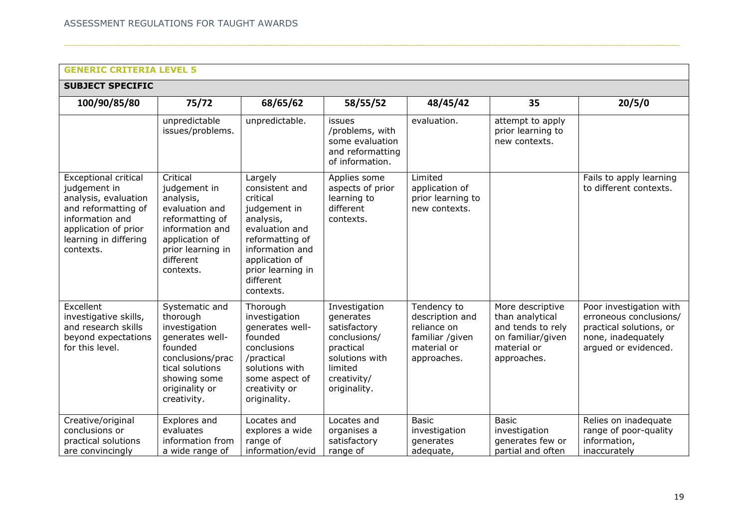| <b>SUBJECT SPECIFIC</b>                                                                                                                                                     |                                                                                                                                                                   |                                                                                                                                                                                             |                                                                                                                                     |                                                                                                |                                                                                                             |                                                                                                                            |  |  |  |
|-----------------------------------------------------------------------------------------------------------------------------------------------------------------------------|-------------------------------------------------------------------------------------------------------------------------------------------------------------------|---------------------------------------------------------------------------------------------------------------------------------------------------------------------------------------------|-------------------------------------------------------------------------------------------------------------------------------------|------------------------------------------------------------------------------------------------|-------------------------------------------------------------------------------------------------------------|----------------------------------------------------------------------------------------------------------------------------|--|--|--|
| 100/90/85/80                                                                                                                                                                | 75/72                                                                                                                                                             | 68/65/62                                                                                                                                                                                    | 58/55/52                                                                                                                            | 48/45/42                                                                                       | 35                                                                                                          | 20/5/0                                                                                                                     |  |  |  |
|                                                                                                                                                                             | unpredictable<br>issues/problems.                                                                                                                                 | unpredictable.                                                                                                                                                                              | issues<br>/problems, with<br>some evaluation<br>and reformatting<br>of information.                                                 | evaluation.                                                                                    | attempt to apply<br>prior learning to<br>new contexts.                                                      |                                                                                                                            |  |  |  |
| <b>Exceptional critical</b><br>judgement in<br>analysis, evaluation<br>and reformatting of<br>information and<br>application of prior<br>learning in differing<br>contexts. | Critical<br>judgement in<br>analysis,<br>evaluation and<br>reformatting of<br>information and<br>application of<br>prior learning in<br>different<br>contexts.    | Largely<br>consistent and<br>critical<br>judgement in<br>analysis,<br>evaluation and<br>reformatting of<br>information and<br>application of<br>prior learning in<br>different<br>contexts. | Applies some<br>aspects of prior<br>learning to<br>different<br>contexts.                                                           | Limited<br>application of<br>prior learning to<br>new contexts.                                |                                                                                                             | Fails to apply learning<br>to different contexts.                                                                          |  |  |  |
| Excellent<br>investigative skills,<br>and research skills<br>beyond expectations<br>for this level.                                                                         | Systematic and<br>thorough<br>investigation<br>qenerates well-<br>founded<br>conclusions/prac<br>tical solutions<br>showing some<br>originality or<br>creativity. | Thorough<br>investigation<br>qenerates well-<br>founded<br>conclusions<br>/practical<br>solutions with<br>some aspect of<br>creativity or<br>originality.                                   | Investigation<br>generates<br>satisfactory<br>conclusions/<br>practical<br>solutions with<br>limited<br>creativity/<br>originality. | Tendency to<br>description and<br>reliance on<br>familiar /given<br>material or<br>approaches. | More descriptive<br>than analytical<br>and tends to rely<br>on familiar/given<br>material or<br>approaches. | Poor investigation with<br>erroneous conclusions/<br>practical solutions, or<br>none, inadequately<br>arqued or evidenced. |  |  |  |
| Creative/original<br>conclusions or<br>practical solutions<br>are convincingly                                                                                              | Explores and<br>evaluates<br>information from<br>a wide range of                                                                                                  | Locates and<br>explores a wide<br>range of<br>information/evid                                                                                                                              | Locates and<br>organises a<br>satisfactory<br>range of                                                                              | <b>Basic</b><br>investigation<br>generates<br>adequate,                                        | <b>Basic</b><br>investigation<br>generates few or<br>partial and often                                      | Relies on inadequate<br>range of poor-quality<br>information,<br>inaccurately                                              |  |  |  |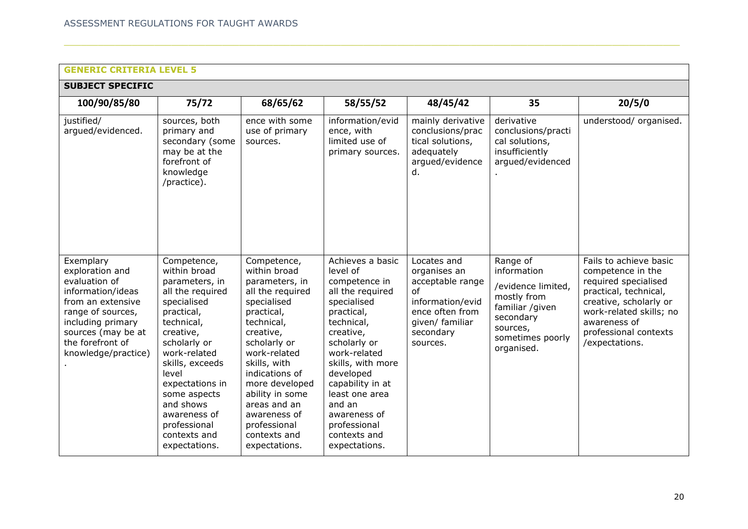| <b>SUBJECT SPECIFIC</b>                                                                                                                                                                            |                                                                                                                                                                                                                                                                                                        |                                                                                                                                                                                                                                                                                                                   |                                                                                                                                                                                                                                                                                                              |                                                                                                                                          |                                                                                                                                            |                                                                                                                                                                                                              |  |  |  |
|----------------------------------------------------------------------------------------------------------------------------------------------------------------------------------------------------|--------------------------------------------------------------------------------------------------------------------------------------------------------------------------------------------------------------------------------------------------------------------------------------------------------|-------------------------------------------------------------------------------------------------------------------------------------------------------------------------------------------------------------------------------------------------------------------------------------------------------------------|--------------------------------------------------------------------------------------------------------------------------------------------------------------------------------------------------------------------------------------------------------------------------------------------------------------|------------------------------------------------------------------------------------------------------------------------------------------|--------------------------------------------------------------------------------------------------------------------------------------------|--------------------------------------------------------------------------------------------------------------------------------------------------------------------------------------------------------------|--|--|--|
| 100/90/85/80                                                                                                                                                                                       | 75/72                                                                                                                                                                                                                                                                                                  | 68/65/62                                                                                                                                                                                                                                                                                                          | 58/55/52                                                                                                                                                                                                                                                                                                     | 48/45/42                                                                                                                                 | 35                                                                                                                                         | 20/5/0                                                                                                                                                                                                       |  |  |  |
| justified/<br>argued/evidenced.                                                                                                                                                                    | sources, both<br>primary and<br>secondary (some<br>may be at the<br>forefront of<br>knowledge<br>/practice).                                                                                                                                                                                           | ence with some<br>use of primary<br>sources.                                                                                                                                                                                                                                                                      | information/evid<br>ence, with<br>limited use of<br>primary sources.                                                                                                                                                                                                                                         | mainly derivative<br>conclusions/prac<br>tical solutions,<br>adequately<br>arqued/evidence<br>d.                                         | derivative<br>conclusions/practi<br>cal solutions,<br>insufficiently<br>argued/evidenced                                                   | understood/ organised.                                                                                                                                                                                       |  |  |  |
| Exemplary<br>exploration and<br>evaluation of<br>information/ideas<br>from an extensive<br>range of sources,<br>including primary<br>sources (may be at<br>the forefront of<br>knowledge/practice) | Competence,<br>within broad<br>parameters, in<br>all the required<br>specialised<br>practical,<br>technical,<br>creative,<br>scholarly or<br>work-related<br>skills, exceeds<br>level<br>expectations in<br>some aspects<br>and shows<br>awareness of<br>professional<br>contexts and<br>expectations. | Competence,<br>within broad<br>parameters, in<br>all the required<br>specialised<br>practical,<br>technical,<br>creative,<br>scholarly or<br>work-related<br>skills, with<br>indications of<br>more developed<br>ability in some<br>areas and an<br>awareness of<br>professional<br>contexts and<br>expectations. | Achieves a basic<br>level of<br>competence in<br>all the required<br>specialised<br>practical,<br>technical,<br>creative,<br>scholarly or<br>work-related<br>skills, with more<br>developed<br>capability in at<br>least one area<br>and an<br>awareness of<br>professional<br>contexts and<br>expectations. | Locates and<br>organises an<br>acceptable range<br>Ωf<br>information/evid<br>ence often from<br>given/ familiar<br>secondary<br>sources. | Range of<br>information<br>/evidence limited,<br>mostly from<br>familiar /given<br>secondary<br>sources,<br>sometimes poorly<br>organised. | Fails to achieve basic<br>competence in the<br>required specialised<br>practical, technical,<br>creative, scholarly or<br>work-related skills; no<br>awareness of<br>professional contexts<br>/expectations. |  |  |  |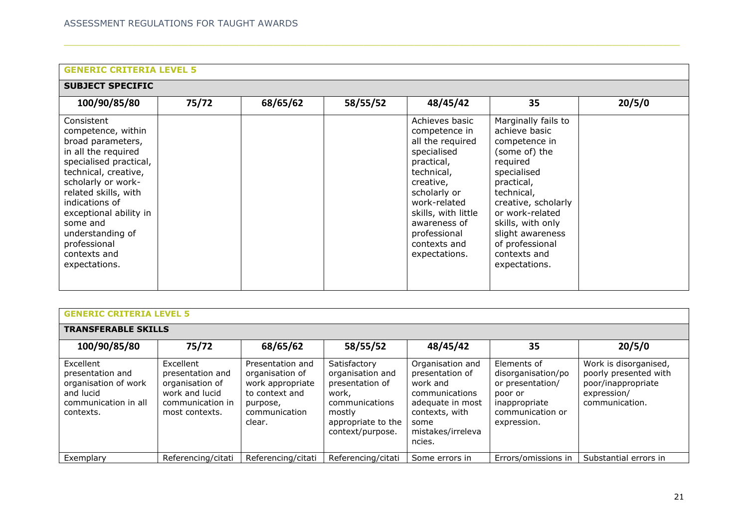# **SUBJECT SPECIFIC**

| 100/90/85/80                                                                                                                                                                                                                                                                                              | 75/72 | 68/65/62 | 58/55/52 | 48/45/42                                                                                                                                                                                                                            | 35                                                                                                                                                                                                                                                                   | 20/5/0 |
|-----------------------------------------------------------------------------------------------------------------------------------------------------------------------------------------------------------------------------------------------------------------------------------------------------------|-------|----------|----------|-------------------------------------------------------------------------------------------------------------------------------------------------------------------------------------------------------------------------------------|----------------------------------------------------------------------------------------------------------------------------------------------------------------------------------------------------------------------------------------------------------------------|--------|
| Consistent<br>competence, within<br>broad parameters,<br>in all the required<br>specialised practical,<br>technical, creative,<br>scholarly or work-<br>related skills, with<br>indications of<br>exceptional ability in<br>some and<br>understanding of<br>professional<br>contexts and<br>expectations. |       |          |          | Achieves basic<br>competence in<br>all the required<br>specialised<br>practical,<br>technical,<br>creative,<br>scholarly or<br>work-related<br>skills, with little<br>awareness of<br>professional<br>contexts and<br>expectations. | Marginally fails to<br>achieve basic<br>competence in<br>(some of) the<br>required<br>specialised<br>practical,<br>technical,<br>creative, scholarly<br>or work-related<br>skills, with only<br>slight awareness<br>of professional<br>contexts and<br>expectations. |        |

| <b>GENERIC CRITERIA LEVEL 5</b>                                                                         |                                                                                                          |                                                                                                                  |                                                                                                                                    |                                                                                                                                                |                                                                                                                      |                                                                                                       |  |  |  |
|---------------------------------------------------------------------------------------------------------|----------------------------------------------------------------------------------------------------------|------------------------------------------------------------------------------------------------------------------|------------------------------------------------------------------------------------------------------------------------------------|------------------------------------------------------------------------------------------------------------------------------------------------|----------------------------------------------------------------------------------------------------------------------|-------------------------------------------------------------------------------------------------------|--|--|--|
| <b>TRANSFERABLE SKILLS</b>                                                                              |                                                                                                          |                                                                                                                  |                                                                                                                                    |                                                                                                                                                |                                                                                                                      |                                                                                                       |  |  |  |
| 100/90/85/80                                                                                            | 75/72                                                                                                    | 68/65/62                                                                                                         | 58/55/52                                                                                                                           | 48/45/42                                                                                                                                       | 35                                                                                                                   | 20/5/0                                                                                                |  |  |  |
| Excellent<br>presentation and<br>organisation of work<br>and lucid<br>communication in all<br>contexts. | Excellent<br>presentation and<br>organisation of<br>work and lucid<br>communication in<br>most contexts. | Presentation and<br>organisation of<br>work appropriate<br>to context and<br>purpose,<br>communication<br>clear. | Satisfactory<br>organisation and<br>presentation of<br>work,<br>communications<br>mostly<br>appropriate to the<br>context/purpose. | Organisation and<br>presentation of<br>work and<br>communications<br>adequate in most<br>contexts, with<br>some<br>mistakes/irreleva<br>ncies. | Elements of<br>disorganisation/po<br>or presentation/<br>poor or<br>inappropriate<br>communication or<br>expression. | Work is disorganised,<br>poorly presented with<br>poor/inappropriate<br>expression/<br>communication. |  |  |  |
| Exemplary                                                                                               | Referencing/citati                                                                                       | Referencing/citati                                                                                               | Referencing/citati                                                                                                                 | Some errors in                                                                                                                                 | Errors/omissions in                                                                                                  | Substantial errors in                                                                                 |  |  |  |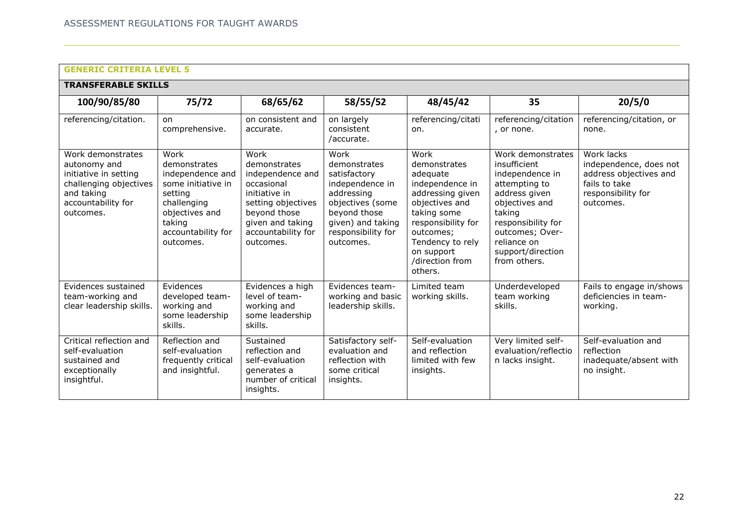| <b>TRANSFERABLE SKILLS</b>                                                                                                            |                                                                                                                                                         |                                                                                                                                                                      |                                                                                                                                                                   |                                                                                                                                                                                                             |                                                                                                                                                                                                                 |                                                                                                                    |  |  |
|---------------------------------------------------------------------------------------------------------------------------------------|---------------------------------------------------------------------------------------------------------------------------------------------------------|----------------------------------------------------------------------------------------------------------------------------------------------------------------------|-------------------------------------------------------------------------------------------------------------------------------------------------------------------|-------------------------------------------------------------------------------------------------------------------------------------------------------------------------------------------------------------|-----------------------------------------------------------------------------------------------------------------------------------------------------------------------------------------------------------------|--------------------------------------------------------------------------------------------------------------------|--|--|
| 100/90/85/80                                                                                                                          | 75/72                                                                                                                                                   | 68/65/62                                                                                                                                                             | 58/55/52                                                                                                                                                          | 48/45/42                                                                                                                                                                                                    | 35                                                                                                                                                                                                              | 20/5/0                                                                                                             |  |  |
| referencing/citation.                                                                                                                 | on<br>comprehensive.                                                                                                                                    | on consistent and<br>accurate.                                                                                                                                       | on largely<br>consistent<br>/accurate.                                                                                                                            | referencing/citati<br>on.                                                                                                                                                                                   | referencing/citation<br>, or none.                                                                                                                                                                              | referencing/citation, or<br>none.                                                                                  |  |  |
| Work demonstrates<br>autonomy and<br>initiative in setting<br>challenging objectives<br>and taking<br>accountability for<br>outcomes. | Work<br>demonstrates<br>independence and<br>some initiative in<br>setting<br>challenging<br>objectives and<br>taking<br>accountability for<br>outcomes. | Work<br>demonstrates<br>independence and<br>occasional<br>initiative in<br>setting objectives<br>beyond those<br>given and taking<br>accountability for<br>outcomes. | Work<br>demonstrates<br>satisfactory<br>independence in<br>addressing<br>objectives (some<br>beyond those<br>given) and taking<br>responsibility for<br>outcomes. | Work<br>demonstrates<br>adequate<br>independence in<br>addressing given<br>objectives and<br>taking some<br>responsibility for<br>outcomes;<br>Tendency to rely<br>on support<br>/direction from<br>others. | Work demonstrates<br>insufficient<br>independence in<br>attempting to<br>address given<br>objectives and<br>taking<br>responsibility for<br>outcomes; Over-<br>reliance on<br>support/direction<br>from others. | Work lacks<br>independence, does not<br>address objectives and<br>fails to take<br>responsibility for<br>outcomes. |  |  |
| Evidences sustained<br>team-working and<br>clear leadership skills.                                                                   | Evidences<br>developed team-<br>working and<br>some leadership<br>skills.                                                                               | Evidences a high<br>level of team-<br>working and<br>some leadership<br>skills.                                                                                      | Evidences team-<br>working and basic<br>leadership skills.                                                                                                        | I imited team<br>working skills.                                                                                                                                                                            | Underdeveloped<br>team working<br>skills.                                                                                                                                                                       | Fails to engage in/shows<br>deficiencies in team-<br>working.                                                      |  |  |
| Critical reflection and<br>self-evaluation<br>sustained and<br>exceptionally<br>insightful.                                           | Reflection and<br>self-evaluation<br>frequently critical<br>and insightful.                                                                             | Sustained<br>reflection and<br>self-evaluation<br>generates a<br>number of critical<br>insights.                                                                     | Satisfactory self-<br>evaluation and<br>reflection with<br>some critical<br>insights.                                                                             | Self-evaluation<br>and reflection<br>limited with few<br>insights.                                                                                                                                          | Very limited self-<br>evaluation/reflectio<br>n lacks insight.                                                                                                                                                  | Self-evaluation and<br>reflection<br>inadequate/absent with<br>no insight.                                         |  |  |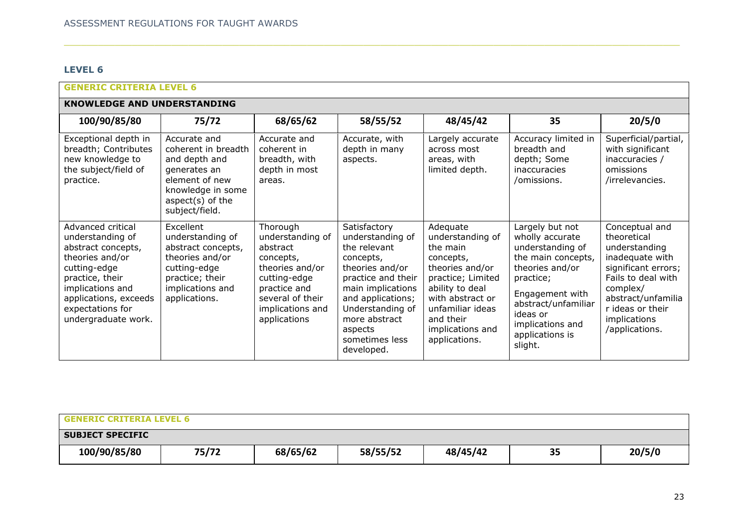# **LEVEL 6**

| <b>GENERIC CRITERIA LEVEL 6</b>                                                                                                                                                                           |                                                                                                                                                      |                                                                                                                                                                  |                                                                                                                                                                                                                                  |                                                                                                                                                                                                            |                                                                                                                                                                                                                      |                                                                                                                                                                                                        |  |  |  |
|-----------------------------------------------------------------------------------------------------------------------------------------------------------------------------------------------------------|------------------------------------------------------------------------------------------------------------------------------------------------------|------------------------------------------------------------------------------------------------------------------------------------------------------------------|----------------------------------------------------------------------------------------------------------------------------------------------------------------------------------------------------------------------------------|------------------------------------------------------------------------------------------------------------------------------------------------------------------------------------------------------------|----------------------------------------------------------------------------------------------------------------------------------------------------------------------------------------------------------------------|--------------------------------------------------------------------------------------------------------------------------------------------------------------------------------------------------------|--|--|--|
| <b>KNOWLEDGE AND UNDERSTANDING</b>                                                                                                                                                                        |                                                                                                                                                      |                                                                                                                                                                  |                                                                                                                                                                                                                                  |                                                                                                                                                                                                            |                                                                                                                                                                                                                      |                                                                                                                                                                                                        |  |  |  |
| 100/90/85/80                                                                                                                                                                                              | 75/72                                                                                                                                                | 68/65/62                                                                                                                                                         | 58/55/52                                                                                                                                                                                                                         | 48/45/42                                                                                                                                                                                                   | 35                                                                                                                                                                                                                   | 20/5/0                                                                                                                                                                                                 |  |  |  |
| Exceptional depth in<br>breadth; Contributes<br>new knowledge to<br>the subject/field of<br>practice.                                                                                                     | Accurate and<br>coherent in breadth<br>and depth and<br>generates an<br>element of new<br>knowledge in some<br>aspect $(s)$ of the<br>subject/field. | Accurate and<br>coherent in<br>breadth, with<br>depth in most<br>areas.                                                                                          | Accurate, with<br>depth in many<br>aspects.                                                                                                                                                                                      | Largely accurate<br>across most<br>areas, with<br>limited depth.                                                                                                                                           | Accuracy limited in<br>breadth and<br>depth; Some<br>inaccuracies<br>/omissions.                                                                                                                                     | Superficial/partial,<br>with significant<br>inaccuracies /<br>omissions<br>/irrelevancies.                                                                                                             |  |  |  |
| Advanced critical<br>understanding of<br>abstract concepts,<br>theories and/or<br>cutting-edge<br>practice, their<br>implications and<br>applications, exceeds<br>expectations for<br>undergraduate work. | Excellent<br>understanding of<br>abstract concepts,<br>theories and/or<br>cutting-edge<br>practice; their<br>implications and<br>applications.       | Thorough<br>understanding of<br>abstract<br>concepts,<br>theories and/or<br>cutting-edge<br>practice and<br>several of their<br>implications and<br>applications | Satisfactory<br>understanding of<br>the relevant<br>concepts,<br>theories and/or<br>practice and their<br>main implications<br>and applications;<br>Understanding of<br>more abstract<br>aspects<br>sometimes less<br>developed. | Adequate<br>understanding of<br>the main<br>concepts,<br>theories and/or<br>practice; Limited<br>ability to deal<br>with abstract or<br>unfamiliar ideas<br>and their<br>implications and<br>applications. | Largely but not<br>wholly accurate<br>understanding of<br>the main concepts,<br>theories and/or<br>practice;<br>Engagement with<br>abstract/unfamiliar<br>ideas or<br>implications and<br>applications is<br>slight. | Conceptual and<br>theoretical<br>understanding<br>inadequate with<br>significant errors;<br>Fails to deal with<br>complex/<br>abstract/unfamilia<br>r ideas or their<br>implications<br>/applications. |  |  |  |

| <b>GENERIC CRITERIA LEVEL 6</b> |       |          |          |          |    |        |  |
|---------------------------------|-------|----------|----------|----------|----|--------|--|
| <b>SUBJECT SPECIFIC</b>         |       |          |          |          |    |        |  |
| 100/90/85/80                    | 75/72 | 68/65/62 | 58/55/52 | 48/45/42 | 35 | 20/5/0 |  |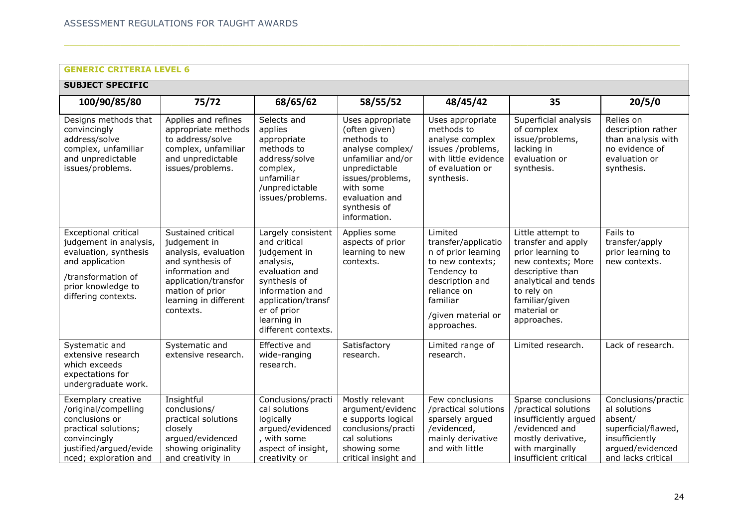# **SUBJECT SPECIFIC**

| SUDJELI SPELIFIL                                                                                                                                                     |                                                                                                                                                                                    |                                                                                                                                                                                                 |                                                                                                                                                                                              |                                                                                                                                                                             |                                                                                                                                                                                              |                                                                                                                                   |  |  |
|----------------------------------------------------------------------------------------------------------------------------------------------------------------------|------------------------------------------------------------------------------------------------------------------------------------------------------------------------------------|-------------------------------------------------------------------------------------------------------------------------------------------------------------------------------------------------|----------------------------------------------------------------------------------------------------------------------------------------------------------------------------------------------|-----------------------------------------------------------------------------------------------------------------------------------------------------------------------------|----------------------------------------------------------------------------------------------------------------------------------------------------------------------------------------------|-----------------------------------------------------------------------------------------------------------------------------------|--|--|
| 100/90/85/80                                                                                                                                                         | 75/72                                                                                                                                                                              | 68/65/62                                                                                                                                                                                        | 58/55/52                                                                                                                                                                                     | 48/45/42                                                                                                                                                                    | 35                                                                                                                                                                                           | 20/5/0                                                                                                                            |  |  |
| Designs methods that<br>convincingly<br>address/solve<br>complex, unfamiliar<br>and unpredictable<br>issues/problems.                                                | Applies and refines<br>appropriate methods<br>to address/solve<br>complex, unfamiliar<br>and unpredictable<br>issues/problems.                                                     | Selects and<br>applies<br>appropriate<br>methods to<br>address/solve<br>complex,<br>unfamiliar<br>/unpredictable<br>issues/problems.                                                            | Uses appropriate<br>(often given)<br>methods to<br>analyse complex/<br>unfamiliar and/or<br>unpredictable<br>issues/problems,<br>with some<br>evaluation and<br>synthesis of<br>information. | Uses appropriate<br>methods to<br>analyse complex<br>issues /problems,<br>with little evidence<br>of evaluation or<br>synthesis.                                            | Superficial analysis<br>of complex<br>issue/problems,<br>lacking in<br>evaluation or<br>synthesis.                                                                                           | Relies on<br>description rather<br>than analysis with<br>no evidence of<br>evaluation or<br>synthesis.                            |  |  |
| <b>Exceptional critical</b><br>judgement in analysis,<br>evaluation, synthesis<br>and application<br>/transformation of<br>prior knowledge to<br>differing contexts. | Sustained critical<br>judgement in<br>analysis, evaluation<br>and synthesis of<br>information and<br>application/transfor<br>mation of prior<br>learning in different<br>contexts. | Largely consistent<br>and critical<br>judgement in<br>analysis,<br>evaluation and<br>synthesis of<br>information and<br>application/transf<br>er of prior<br>learning in<br>different contexts. | Applies some<br>aspects of prior<br>learning to new<br>contexts.                                                                                                                             | Limited<br>transfer/applicatio<br>n of prior learning<br>to new contexts;<br>Tendency to<br>description and<br>reliance on<br>familiar<br>/given material or<br>approaches. | Little attempt to<br>transfer and apply<br>prior learning to<br>new contexts; More<br>descriptive than<br>analytical and tends<br>to rely on<br>familiar/given<br>material or<br>approaches. | Fails to<br>transfer/apply<br>prior learning to<br>new contexts.                                                                  |  |  |
| Systematic and<br>extensive research<br>which exceeds<br>expectations for<br>undergraduate work.                                                                     | Systematic and<br>extensive research.                                                                                                                                              | Effective and<br>wide-ranging<br>research.                                                                                                                                                      | Satisfactory<br>research.                                                                                                                                                                    | Limited range of<br>research.                                                                                                                                               | Limited research.                                                                                                                                                                            | Lack of research.                                                                                                                 |  |  |
| Exemplary creative<br>/original/compelling<br>conclusions or<br>practical solutions;<br>convincingly<br>justified/argued/evide<br>nced; exploration and              | Insightful<br>conclusions/<br>practical solutions<br>closely<br>argued/evidenced<br>showing originality<br>and creativity in                                                       | Conclusions/practi<br>cal solutions<br>logically<br>argued/evidenced<br>, with some<br>aspect of insight,<br>creativity or                                                                      | Mostly relevant<br>argument/evidenc<br>e supports logical<br>conclusions/practi<br>cal solutions<br>showing some<br>critical insight and                                                     | Few conclusions<br>/practical solutions<br>sparsely argued<br>/evidenced,<br>mainly derivative<br>and with little                                                           | Sparse conclusions<br>/practical solutions<br>insufficiently argued<br>/evidenced and<br>mostly derivative,<br>with marginally<br>insufficient critical                                      | Conclusions/practic<br>al solutions<br>absent/<br>superficial/flawed,<br>insufficiently<br>arqued/evidenced<br>and lacks critical |  |  |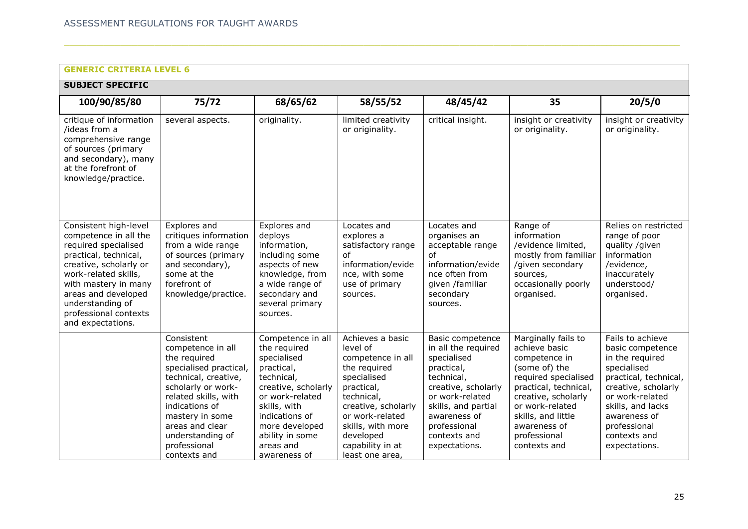| <b>GENERIC CRITERIA LEVEL 6</b>                                                                                                                                                                                                                                    |                                                                                                                                                                                                                                                             |                                                                                                                                                                                                                            |                                                                                                                                                                                                                                 |                                                                                                                                                                                                                      |                                                                                                                                                                                                                                         |                                                                                                                                                                                                                                 |  |  |  |  |
|--------------------------------------------------------------------------------------------------------------------------------------------------------------------------------------------------------------------------------------------------------------------|-------------------------------------------------------------------------------------------------------------------------------------------------------------------------------------------------------------------------------------------------------------|----------------------------------------------------------------------------------------------------------------------------------------------------------------------------------------------------------------------------|---------------------------------------------------------------------------------------------------------------------------------------------------------------------------------------------------------------------------------|----------------------------------------------------------------------------------------------------------------------------------------------------------------------------------------------------------------------|-----------------------------------------------------------------------------------------------------------------------------------------------------------------------------------------------------------------------------------------|---------------------------------------------------------------------------------------------------------------------------------------------------------------------------------------------------------------------------------|--|--|--|--|
| <b>SUBJECT SPECIFIC</b>                                                                                                                                                                                                                                            |                                                                                                                                                                                                                                                             |                                                                                                                                                                                                                            |                                                                                                                                                                                                                                 |                                                                                                                                                                                                                      |                                                                                                                                                                                                                                         |                                                                                                                                                                                                                                 |  |  |  |  |
| 100/90/85/80                                                                                                                                                                                                                                                       | 75/72                                                                                                                                                                                                                                                       | 68/65/62                                                                                                                                                                                                                   | 58/55/52                                                                                                                                                                                                                        | 48/45/42                                                                                                                                                                                                             | 35                                                                                                                                                                                                                                      | 20/5/0                                                                                                                                                                                                                          |  |  |  |  |
| critique of information<br>/ideas from a<br>comprehensive range<br>of sources (primary<br>and secondary), many<br>at the forefront of<br>knowledge/practice.                                                                                                       | several aspects.                                                                                                                                                                                                                                            | originality.                                                                                                                                                                                                               | limited creativity<br>or originality.                                                                                                                                                                                           | critical insight.                                                                                                                                                                                                    | insight or creativity<br>or originality.                                                                                                                                                                                                | insight or creativity<br>or originality.                                                                                                                                                                                        |  |  |  |  |
| Consistent high-level<br>competence in all the<br>required specialised<br>practical, technical,<br>creative, scholarly or<br>work-related skills,<br>with mastery in many<br>areas and developed<br>understanding of<br>professional contexts<br>and expectations. | Explores and<br>critiques information<br>from a wide range<br>of sources (primary<br>and secondary),<br>some at the<br>forefront of<br>knowledge/practice.                                                                                                  | Explores and<br>deploys<br>information,<br>including some<br>aspects of new<br>knowledge, from<br>a wide range of<br>secondary and<br>several primary<br>sources.                                                          | Locates and<br>explores a<br>satisfactory range<br>οf<br>information/evide<br>nce, with some<br>use of primary<br>sources.                                                                                                      | Locates and<br>organises an<br>acceptable range<br><sub>of</sub><br>information/evide<br>nce often from<br>given /familiar<br>secondary<br>sources.                                                                  | Range of<br>information<br>/evidence limited,<br>mostly from familiar<br>/given secondary<br>sources,<br>occasionally poorly<br>organised.                                                                                              | Relies on restricted<br>range of poor<br>quality /given<br>information<br>/evidence,<br>inaccurately<br>understood/<br>organised.                                                                                               |  |  |  |  |
|                                                                                                                                                                                                                                                                    | Consistent<br>competence in all<br>the required<br>specialised practical,<br>technical, creative,<br>scholarly or work-<br>related skills, with<br>indications of<br>mastery in some<br>areas and clear<br>understanding of<br>professional<br>contexts and | Competence in all<br>the required<br>specialised<br>practical,<br>technical,<br>creative, scholarly<br>or work-related<br>skills, with<br>indications of<br>more developed<br>ability in some<br>areas and<br>awareness of | Achieves a basic<br>level of<br>competence in all<br>the required<br>specialised<br>practical,<br>technical,<br>creative, scholarly<br>or work-related<br>skills, with more<br>developed<br>capability in at<br>least one area, | Basic competence<br>in all the required<br>specialised<br>practical,<br>technical,<br>creative, scholarly<br>or work-related<br>skills, and partial<br>awareness of<br>professional<br>contexts and<br>expectations. | Marginally fails to<br>achieve basic<br>competence in<br>(some of) the<br>required specialised<br>practical, technical,<br>creative, scholarly<br>or work-related<br>skills, and little<br>awareness of<br>professional<br>contexts and | Fails to achieve<br>basic competence<br>in the required<br>specialised<br>practical, technical,<br>creative, scholarly<br>or work-related<br>skills, and lacks<br>awareness of<br>professional<br>contexts and<br>expectations. |  |  |  |  |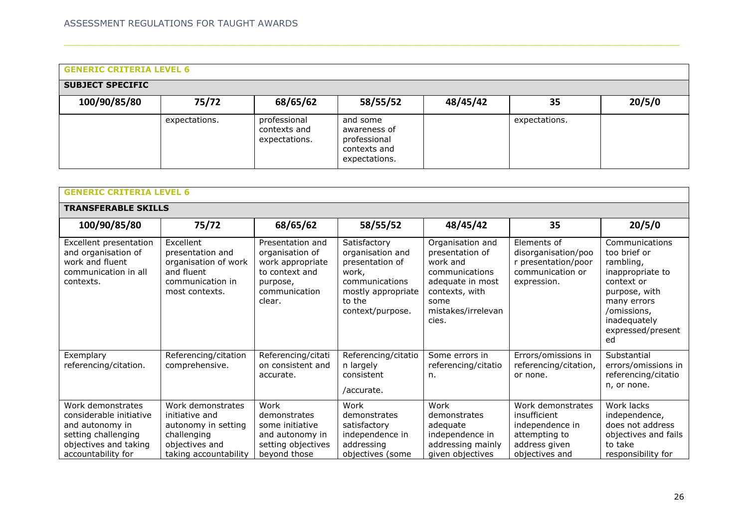| <b>GENERIC CRITERIA LEVEL 6</b> |               |                                               |                                                                           |          |               |        |  |  |
|---------------------------------|---------------|-----------------------------------------------|---------------------------------------------------------------------------|----------|---------------|--------|--|--|
| <b>SUBJECT SPECIFIC</b>         |               |                                               |                                                                           |          |               |        |  |  |
| 100/90/85/80                    | 75/72         | 68/65/62                                      | 58/55/52                                                                  | 48/45/42 | 35            | 20/5/0 |  |  |
|                                 | expectations. | professional<br>contexts and<br>expectations. | and some<br>awareness of<br>professional<br>contexts and<br>expectations. |          | expectations. |        |  |  |

|                                                                                                                                       | <b>GENERIC CRITERIA LEVEL 6</b>                                                                                      |                                                                                                                  |                                                                                                                                    |                                                                                                                                                |                                                                                                          |                                                                                                                                                                         |  |  |
|---------------------------------------------------------------------------------------------------------------------------------------|----------------------------------------------------------------------------------------------------------------------|------------------------------------------------------------------------------------------------------------------|------------------------------------------------------------------------------------------------------------------------------------|------------------------------------------------------------------------------------------------------------------------------------------------|----------------------------------------------------------------------------------------------------------|-------------------------------------------------------------------------------------------------------------------------------------------------------------------------|--|--|
| <b>TRANSFERABLE SKILLS</b>                                                                                                            |                                                                                                                      |                                                                                                                  |                                                                                                                                    |                                                                                                                                                |                                                                                                          |                                                                                                                                                                         |  |  |
| 100/90/85/80                                                                                                                          | 75/72                                                                                                                | 68/65/62                                                                                                         | 58/55/52                                                                                                                           | 48/45/42                                                                                                                                       | 35                                                                                                       | 20/5/0                                                                                                                                                                  |  |  |
| Excellent presentation<br>and organisation of<br>work and fluent<br>communication in all<br>contexts.                                 | Excellent<br>presentation and<br>organisation of work<br>and fluent<br>communication in<br>most contexts.            | Presentation and<br>organisation of<br>work appropriate<br>to context and<br>purpose,<br>communication<br>clear. | Satisfactory<br>organisation and<br>presentation of<br>work,<br>communications<br>mostly appropriate<br>to the<br>context/purpose. | Organisation and<br>presentation of<br>work and<br>communications<br>adequate in most<br>contexts, with<br>some<br>mistakes/irrelevan<br>cies. | Elements of<br>disorganisation/poo<br>r presentation/poor<br>communication or<br>expression.             | Communications<br>too brief or<br>rambling,<br>inappropriate to<br>context or<br>purpose, with<br>many errors<br>/omissions,<br>inadequately<br>expressed/present<br>ed |  |  |
| Exemplary<br>referencing/citation.                                                                                                    | Referencing/citation<br>comprehensive.                                                                               | Referencing/citati<br>on consistent and<br>accurate.                                                             | Referencing/citatio<br>n largely<br>consistent<br>/accurate.                                                                       | Some errors in<br>referencing/citatio<br>n.                                                                                                    | Errors/omissions in<br>referencing/citation,<br>or none.                                                 | Substantial<br>errors/omissions in<br>referencing/citatio<br>n, or none.                                                                                                |  |  |
| Work demonstrates<br>considerable initiative<br>and autonomy in<br>setting challenging<br>objectives and taking<br>accountability for | Work demonstrates<br>initiative and<br>autonomy in setting<br>challenging<br>objectives and<br>taking accountability | Work<br>demonstrates<br>some initiative<br>and autonomy in<br>setting objectives<br>beyond those                 | Work<br>demonstrates<br>satisfactory<br>independence in<br>addressing<br>objectives (some                                          | Work<br>demonstrates<br>adequate<br>independence in<br>addressing mainly<br>given objectives                                                   | Work demonstrates<br>insufficient<br>independence in<br>attempting to<br>address given<br>objectives and | Work lacks<br>independence,<br>does not address<br>objectives and fails<br>to take<br>responsibility for                                                                |  |  |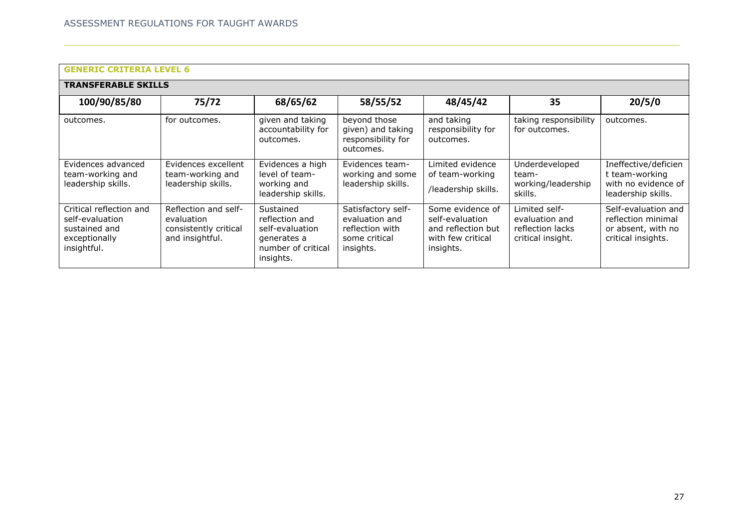| <b>GENERIC CRITERIA LEVEL 6</b>                                                             |                                                                                |                                                                                                  |                                                                                       |                                                                                             |                                                                          |                                                                                       |  |  |
|---------------------------------------------------------------------------------------------|--------------------------------------------------------------------------------|--------------------------------------------------------------------------------------------------|---------------------------------------------------------------------------------------|---------------------------------------------------------------------------------------------|--------------------------------------------------------------------------|---------------------------------------------------------------------------------------|--|--|
| <b>TRANSFERABLE SKILLS</b>                                                                  |                                                                                |                                                                                                  |                                                                                       |                                                                                             |                                                                          |                                                                                       |  |  |
| 100/90/85/80                                                                                | 75/72                                                                          | 68/65/62                                                                                         | 58/55/52                                                                              | 48/45/42                                                                                    | 35                                                                       | 20/5/0                                                                                |  |  |
| outcomes.                                                                                   | for outcomes.                                                                  | given and taking<br>accountability for<br>outcomes.                                              | beyond those<br>given) and taking<br>responsibility for<br>outcomes.                  | and taking<br>responsibility for<br>outcomes.                                               | taking responsibility<br>for outcomes.                                   | outcomes.                                                                             |  |  |
| Evidences advanced<br>team-working and<br>leadership skills.                                | Evidences excellent<br>team-working and<br>leadership skills.                  | Evidences a high<br>level of team-<br>working and<br>leadership skills.                          | Evidences team-<br>working and some<br>leadership skills.                             | Limited evidence<br>of team-working<br>/leadership skills.                                  | Underdeveloped<br>team-<br>working/leadership<br>skills.                 | Ineffective/deficien<br>t team-working<br>with no evidence of<br>leadership skills.   |  |  |
| Critical reflection and<br>self-evaluation<br>sustained and<br>exceptionally<br>insightful. | Reflection and self-<br>evaluation<br>consistently critical<br>and insightful. | Sustained<br>reflection and<br>self-evaluation<br>generates a<br>number of critical<br>insights. | Satisfactory self-<br>evaluation and<br>reflection with<br>some critical<br>insights. | Some evidence of<br>self-evaluation<br>and reflection but<br>with few critical<br>insights. | Limited self-<br>evaluation and<br>reflection lacks<br>critical insight. | Self-evaluation and<br>reflection minimal<br>or absent, with no<br>critical insights. |  |  |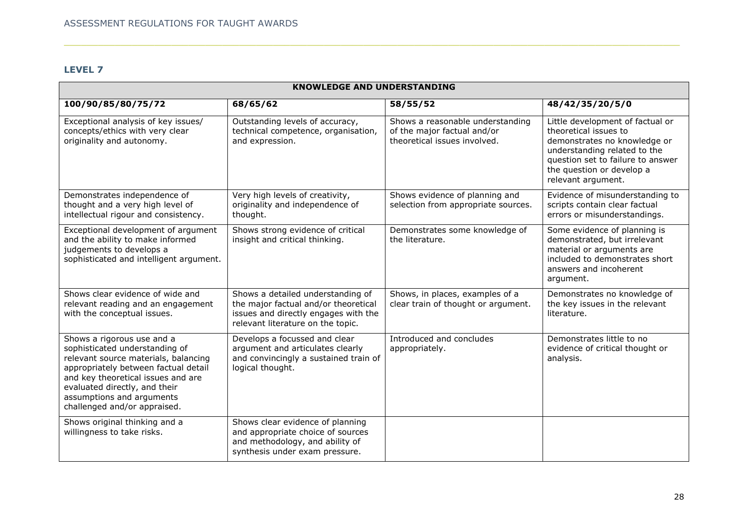# **LEVEL 7**

| <b>KNOWLEDGE AND UNDERSTANDING</b>                                                                                                                                                                                                                                               |                                                                                                                                                        |                                                                                                 |                                                                                                                                                                                                                   |  |  |  |
|----------------------------------------------------------------------------------------------------------------------------------------------------------------------------------------------------------------------------------------------------------------------------------|--------------------------------------------------------------------------------------------------------------------------------------------------------|-------------------------------------------------------------------------------------------------|-------------------------------------------------------------------------------------------------------------------------------------------------------------------------------------------------------------------|--|--|--|
| 100/90/85/80/75/72                                                                                                                                                                                                                                                               | 68/65/62                                                                                                                                               | 58/55/52                                                                                        | 48/42/35/20/5/0                                                                                                                                                                                                   |  |  |  |
| Exceptional analysis of key issues/<br>concepts/ethics with very clear<br>originality and autonomy.                                                                                                                                                                              | Outstanding levels of accuracy,<br>technical competence, organisation,<br>and expression.                                                              | Shows a reasonable understanding<br>of the major factual and/or<br>theoretical issues involved. | Little development of factual or<br>theoretical issues to<br>demonstrates no knowledge or<br>understanding related to the<br>question set to failure to answer<br>the question or develop a<br>relevant argument. |  |  |  |
| Demonstrates independence of<br>thought and a very high level of<br>intellectual rigour and consistency.                                                                                                                                                                         | Very high levels of creativity,<br>originality and independence of<br>thought.                                                                         | Shows evidence of planning and<br>selection from appropriate sources.                           | Evidence of misunderstanding to<br>scripts contain clear factual<br>errors or misunderstandings.                                                                                                                  |  |  |  |
| Exceptional development of argument<br>and the ability to make informed<br>judgements to develops a<br>sophisticated and intelligent argument.                                                                                                                                   | Shows strong evidence of critical<br>insight and critical thinking.                                                                                    | Demonstrates some knowledge of<br>the literature.                                               | Some evidence of planning is<br>demonstrated, but irrelevant<br>material or arguments are<br>included to demonstrates short<br>answers and incoherent<br>argument.                                                |  |  |  |
| Shows clear evidence of wide and<br>relevant reading and an engagement<br>with the conceptual issues.                                                                                                                                                                            | Shows a detailed understanding of<br>the major factual and/or theoretical<br>issues and directly engages with the<br>relevant literature on the topic. | Shows, in places, examples of a<br>clear train of thought or argument.                          | Demonstrates no knowledge of<br>the key issues in the relevant<br>literature.                                                                                                                                     |  |  |  |
| Shows a rigorous use and a<br>sophisticated understanding of<br>relevant source materials, balancing<br>appropriately between factual detail<br>and key theoretical issues and are<br>evaluated directly, and their<br>assumptions and arguments<br>challenged and/or appraised. | Develops a focussed and clear<br>argument and articulates clearly<br>and convincingly a sustained train of<br>logical thought.                         | Introduced and concludes<br>appropriately.                                                      | Demonstrates little to no<br>evidence of critical thought or<br>analysis.                                                                                                                                         |  |  |  |
| Shows original thinking and a<br>willingness to take risks.                                                                                                                                                                                                                      | Shows clear evidence of planning<br>and appropriate choice of sources<br>and methodology, and ability of<br>synthesis under exam pressure.             |                                                                                                 |                                                                                                                                                                                                                   |  |  |  |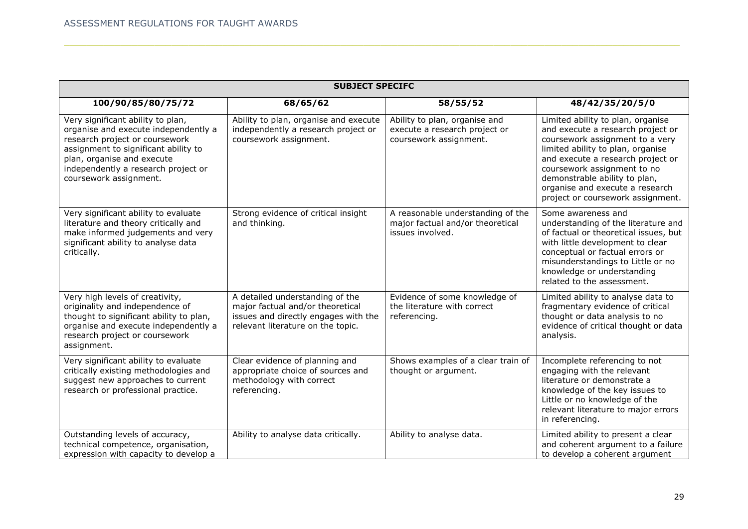| <b>SUBJECT SPECIFC</b>                                                                                                                                                                                                                             |                                                                                                                                                  |                                                                                           |                                                                                                                                                                                                                                                                                                                             |  |  |  |
|----------------------------------------------------------------------------------------------------------------------------------------------------------------------------------------------------------------------------------------------------|--------------------------------------------------------------------------------------------------------------------------------------------------|-------------------------------------------------------------------------------------------|-----------------------------------------------------------------------------------------------------------------------------------------------------------------------------------------------------------------------------------------------------------------------------------------------------------------------------|--|--|--|
| 100/90/85/80/75/72                                                                                                                                                                                                                                 | 68/65/62                                                                                                                                         | 58/55/52                                                                                  | 48/42/35/20/5/0                                                                                                                                                                                                                                                                                                             |  |  |  |
| Very significant ability to plan,<br>organise and execute independently a<br>research project or coursework<br>assignment to significant ability to<br>plan, organise and execute<br>independently a research project or<br>coursework assignment. | Ability to plan, organise and execute<br>independently a research project or<br>coursework assignment.                                           | Ability to plan, organise and<br>execute a research project or<br>coursework assignment.  | Limited ability to plan, organise<br>and execute a research project or<br>coursework assignment to a very<br>limited ability to plan, organise<br>and execute a research project or<br>coursework assignment to no<br>demonstrable ability to plan,<br>organise and execute a research<br>project or coursework assignment. |  |  |  |
| Very significant ability to evaluate<br>literature and theory critically and<br>make informed judgements and very<br>significant ability to analyse data<br>critically.                                                                            | Strong evidence of critical insight<br>and thinking.                                                                                             | A reasonable understanding of the<br>major factual and/or theoretical<br>issues involved. | Some awareness and<br>understanding of the literature and<br>of factual or theoretical issues, but<br>with little development to clear<br>conceptual or factual errors or<br>misunderstandings to Little or no<br>knowledge or understanding<br>related to the assessment.                                                  |  |  |  |
| Very high levels of creativity,<br>originality and independence of<br>thought to significant ability to plan,<br>organise and execute independently a<br>research project or coursework<br>assignment.                                             | A detailed understanding of the<br>major factual and/or theoretical<br>issues and directly engages with the<br>relevant literature on the topic. | Evidence of some knowledge of<br>the literature with correct<br>referencing.              | Limited ability to analyse data to<br>fragmentary evidence of critical<br>thought or data analysis to no<br>evidence of critical thought or data<br>analysis.                                                                                                                                                               |  |  |  |
| Very significant ability to evaluate<br>critically existing methodologies and<br>suggest new approaches to current<br>research or professional practice.                                                                                           | Clear evidence of planning and<br>appropriate choice of sources and<br>methodology with correct<br>referencing.                                  | Shows examples of a clear train of<br>thought or argument.                                | Incomplete referencing to not<br>engaging with the relevant<br>literature or demonstrate a<br>knowledge of the key issues to<br>Little or no knowledge of the<br>relevant literature to major errors<br>in referencing.                                                                                                     |  |  |  |
| Outstanding levels of accuracy,<br>technical competence, organisation,<br>expression with capacity to develop a                                                                                                                                    | Ability to analyse data critically.                                                                                                              | Ability to analyse data.                                                                  | Limited ability to present a clear<br>and coherent argument to a failure<br>to develop a coherent argument                                                                                                                                                                                                                  |  |  |  |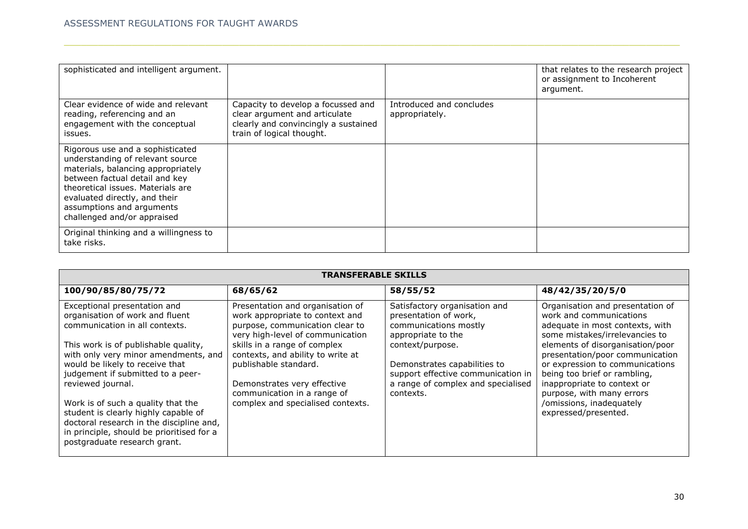| sophisticated and intelligent argument.                                                                                                                                                                                                                                        |                                                                                                                                          |                                            | that relates to the research project<br>or assignment to Incoherent<br>argument. |
|--------------------------------------------------------------------------------------------------------------------------------------------------------------------------------------------------------------------------------------------------------------------------------|------------------------------------------------------------------------------------------------------------------------------------------|--------------------------------------------|----------------------------------------------------------------------------------|
| Clear evidence of wide and relevant<br>reading, referencing and an<br>engagement with the conceptual<br>issues.                                                                                                                                                                | Capacity to develop a focussed and<br>clear argument and articulate<br>clearly and convincingly a sustained<br>train of logical thought. | Introduced and concludes<br>appropriately. |                                                                                  |
| Rigorous use and a sophisticated<br>understanding of relevant source<br>materials, balancing appropriately<br>between factual detail and key<br>theoretical issues. Materials are<br>evaluated directly, and their<br>assumptions and arguments<br>challenged and/or appraised |                                                                                                                                          |                                            |                                                                                  |
| Original thinking and a willingness to<br>take risks.                                                                                                                                                                                                                          |                                                                                                                                          |                                            |                                                                                  |

| <b>TRANSFERABLE SKILLS</b>                                                                                                                                                                                                                                                                                                                                                                                                                                                            |                                                                                                                                                                                                                                                                                                                                             |                                                                                                                                                                                                                                                    |                                                                                                                                                                                                                                                                                                                                                                                            |  |  |  |  |
|---------------------------------------------------------------------------------------------------------------------------------------------------------------------------------------------------------------------------------------------------------------------------------------------------------------------------------------------------------------------------------------------------------------------------------------------------------------------------------------|---------------------------------------------------------------------------------------------------------------------------------------------------------------------------------------------------------------------------------------------------------------------------------------------------------------------------------------------|----------------------------------------------------------------------------------------------------------------------------------------------------------------------------------------------------------------------------------------------------|--------------------------------------------------------------------------------------------------------------------------------------------------------------------------------------------------------------------------------------------------------------------------------------------------------------------------------------------------------------------------------------------|--|--|--|--|
| 100/90/85/80/75/72                                                                                                                                                                                                                                                                                                                                                                                                                                                                    | 68/65/62                                                                                                                                                                                                                                                                                                                                    | 58/55/52                                                                                                                                                                                                                                           | 48/42/35/20/5/0                                                                                                                                                                                                                                                                                                                                                                            |  |  |  |  |
| Exceptional presentation and<br>organisation of work and fluent<br>communication in all contexts.<br>This work is of publishable quality,<br>with only very minor amendments, and<br>would be likely to receive that<br>judgement if submitted to a peer-<br>reviewed journal.<br>Work is of such a quality that the<br>student is clearly highly capable of<br>doctoral research in the discipline and,<br>in principle, should be prioritised for a<br>postgraduate research grant. | Presentation and organisation of<br>work appropriate to context and<br>purpose, communication clear to<br>very high-level of communication<br>skills in a range of complex<br>contexts, and ability to write at<br>publishable standard.<br>Demonstrates very effective<br>communication in a range of<br>complex and specialised contexts. | Satisfactory organisation and<br>presentation of work,<br>communications mostly<br>appropriate to the<br>context/purpose.<br>Demonstrates capabilities to<br>support effective communication in<br>a range of complex and specialised<br>contexts. | Organisation and presentation of<br>work and communications<br>adequate in most contexts, with<br>some mistakes/irrelevancies to<br>elements of disorganisation/poor<br>presentation/poor communication<br>or expression to communications<br>being too brief or rambling,<br>inappropriate to context or<br>purpose, with many errors<br>/omissions, inadequately<br>expressed/presented. |  |  |  |  |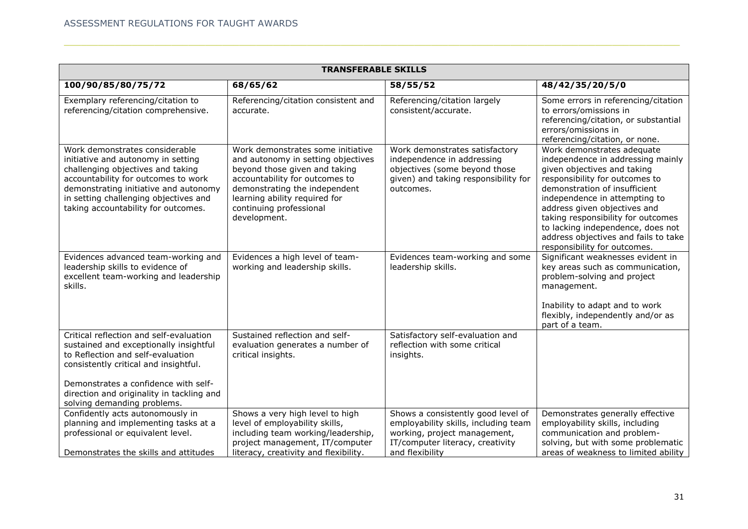|                                                                                                                                                                                                                                                                                     | <b>TRANSFERABLE SKILLS</b>                                                                                                                                                                                                                              |                                                                                                                                                                   |                                                                                                                                                                                                                                                                                                                                                                                       |  |  |  |  |
|-------------------------------------------------------------------------------------------------------------------------------------------------------------------------------------------------------------------------------------------------------------------------------------|---------------------------------------------------------------------------------------------------------------------------------------------------------------------------------------------------------------------------------------------------------|-------------------------------------------------------------------------------------------------------------------------------------------------------------------|---------------------------------------------------------------------------------------------------------------------------------------------------------------------------------------------------------------------------------------------------------------------------------------------------------------------------------------------------------------------------------------|--|--|--|--|
| 100/90/85/80/75/72                                                                                                                                                                                                                                                                  | 68/65/62                                                                                                                                                                                                                                                | 58/55/52                                                                                                                                                          | 48/42/35/20/5/0                                                                                                                                                                                                                                                                                                                                                                       |  |  |  |  |
| Exemplary referencing/citation to<br>referencing/citation comprehensive.                                                                                                                                                                                                            | Referencing/citation consistent and<br>accurate.                                                                                                                                                                                                        | Referencing/citation largely<br>consistent/accurate.                                                                                                              | Some errors in referencing/citation<br>to errors/omissions in<br>referencing/citation, or substantial<br>errors/omissions in<br>referencing/citation, or none.                                                                                                                                                                                                                        |  |  |  |  |
| Work demonstrates considerable<br>initiative and autonomy in setting<br>challenging objectives and taking<br>accountability for outcomes to work<br>demonstrating initiative and autonomy<br>in setting challenging objectives and<br>taking accountability for outcomes.           | Work demonstrates some initiative<br>and autonomy in setting objectives<br>beyond those given and taking<br>accountability for outcomes to<br>demonstrating the independent<br>learning ability required for<br>continuing professional<br>development. | Work demonstrates satisfactory<br>independence in addressing<br>objectives (some beyond those<br>given) and taking responsibility for<br>outcomes.                | Work demonstrates adequate<br>independence in addressing mainly<br>given objectives and taking<br>responsibility for outcomes to<br>demonstration of insufficient<br>independence in attempting to<br>address given objectives and<br>taking responsibility for outcomes<br>to lacking independence, does not<br>address objectives and fails to take<br>responsibility for outcomes. |  |  |  |  |
| Evidences advanced team-working and<br>leadership skills to evidence of<br>excellent team-working and leadership<br>skills.                                                                                                                                                         | Evidences a high level of team-<br>working and leadership skills.                                                                                                                                                                                       | Evidences team-working and some<br>leadership skills.                                                                                                             | Significant weaknesses evident in<br>key areas such as communication,<br>problem-solving and project<br>management.<br>Inability to adapt and to work<br>flexibly, independently and/or as<br>part of a team.                                                                                                                                                                         |  |  |  |  |
| Critical reflection and self-evaluation<br>sustained and exceptionally insightful<br>to Reflection and self-evaluation<br>consistently critical and insightful.<br>Demonstrates a confidence with self-<br>direction and originality in tackling and<br>solving demanding problems. | Sustained reflection and self-<br>evaluation generates a number of<br>critical insights.                                                                                                                                                                | Satisfactory self-evaluation and<br>reflection with some critical<br>insights.                                                                                    |                                                                                                                                                                                                                                                                                                                                                                                       |  |  |  |  |
| Confidently acts autonomously in<br>planning and implementing tasks at a<br>professional or equivalent level.<br>Demonstrates the skills and attitudes                                                                                                                              | Shows a very high level to high<br>level of employability skills,<br>including team working/leadership,<br>project management, IT/computer<br>literacy, creativity and flexibility.                                                                     | Shows a consistently good level of<br>employability skills, including team<br>working, project management,<br>IT/computer literacy, creativity<br>and flexibility | Demonstrates generally effective<br>employability skills, including<br>communication and problem-<br>solving, but with some problematic<br>areas of weakness to limited ability                                                                                                                                                                                                       |  |  |  |  |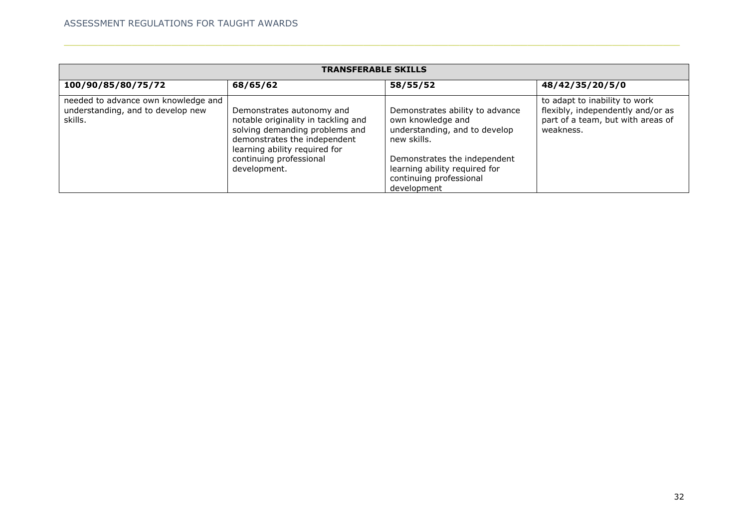| <b>TRANSFERABLE SKILLS</b>                                                          |                                                                                                                                                                     |                                                                                                         |                                                                                                                      |  |  |  |  |
|-------------------------------------------------------------------------------------|---------------------------------------------------------------------------------------------------------------------------------------------------------------------|---------------------------------------------------------------------------------------------------------|----------------------------------------------------------------------------------------------------------------------|--|--|--|--|
| 100/90/85/80/75/72                                                                  | 68/65/62                                                                                                                                                            | 58/55/52                                                                                                | 48/42/35/20/5/0                                                                                                      |  |  |  |  |
| needed to advance own knowledge and<br>understanding, and to develop new<br>skills. | Demonstrates autonomy and<br>notable originality in tackling and<br>solving demanding problems and<br>demonstrates the independent<br>learning ability required for | Demonstrates ability to advance<br>own knowledge and<br>understanding, and to develop<br>new skills.    | to adapt to inability to work<br>flexibly, independently and/or as<br>part of a team, but with areas of<br>weakness. |  |  |  |  |
|                                                                                     | continuing professional<br>development.                                                                                                                             | Demonstrates the independent<br>learning ability required for<br>continuing professional<br>development |                                                                                                                      |  |  |  |  |